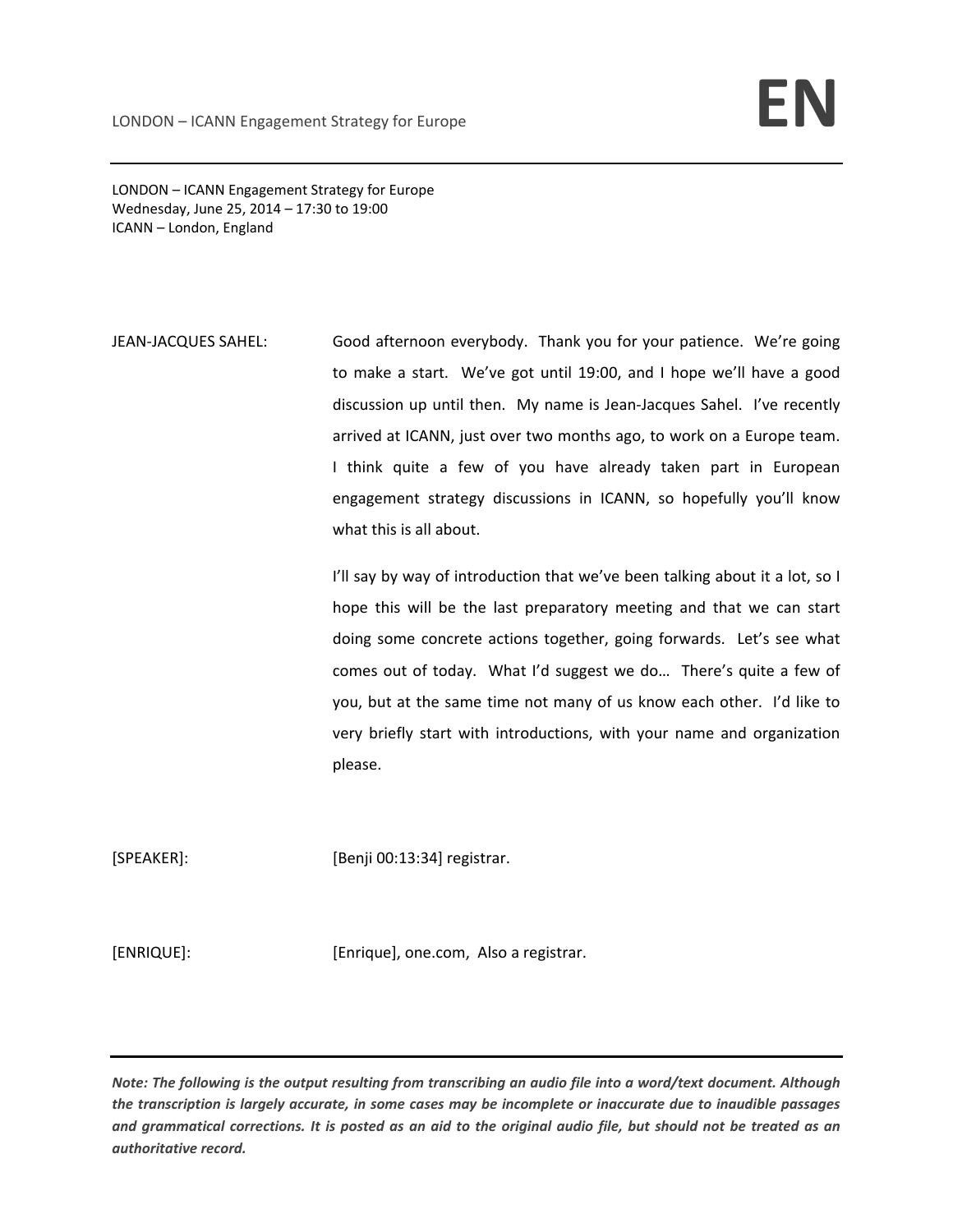LONDON – ICANN Engagement Strategy for Europe Wednesday, June 25, 2014 – 17:30 to 19:00 ICANN – London, England

JEAN-JACQUES SAHEL: Good afternoon everybody. Thank you for your patience. We're going to make a start. We've got until 19:00, and I hope we'll have a good discussion up until then. My name is Jean‐Jacques Sahel. I've recently arrived at ICANN, just over two months ago, to work on a Europe team. I think quite a few of you have already taken part in European engagement strategy discussions in ICANN, so hopefully you'll know what this is all about.

> I'll say by way of introduction that we've been talking about it a lot, so I hope this will be the last preparatory meeting and that we can start doing some concrete actions together, going forwards. Let's see what comes out of today. What I'd suggest we do… There's quite a few of you, but at the same time not many of us know each other. I'd like to very briefly start with introductions, with your name and organization please.

[SPEAKER]: [Benji 00:13:34] registrar.

[ENRIQUE]: [ENRIQUE]: [Enrique], one.com, Also a registrar.

Note: The following is the output resulting from transcribing an audio file into a word/text document. Although the transcription is largely accurate, in some cases may be incomplete or inaccurate due to inaudible passages and grammatical corrections. It is posted as an aid to the original audio file, but should not be treated as an *authoritative record.*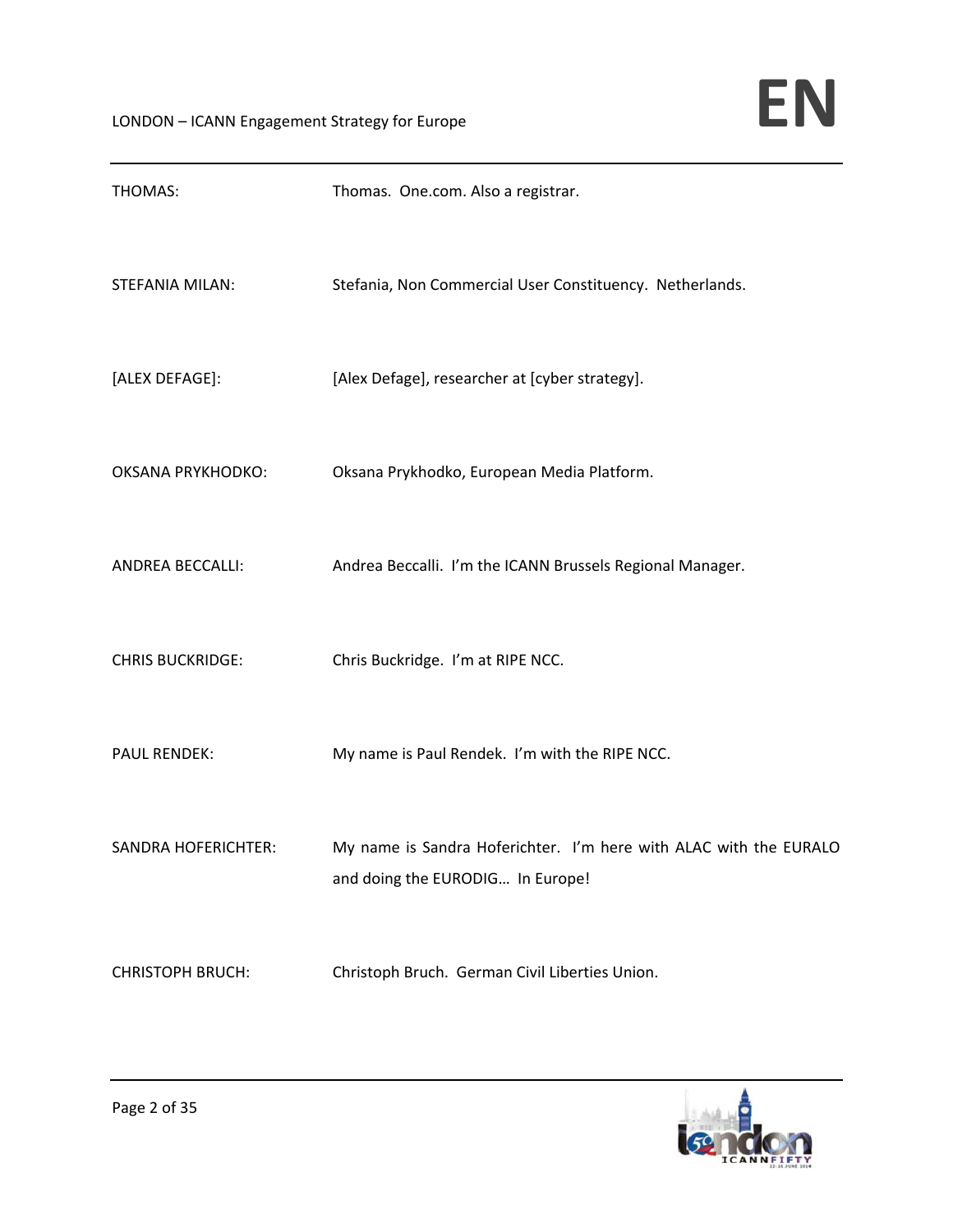| THOMAS:                    | Thomas. One.com. Also a registrar.                                                                    |
|----------------------------|-------------------------------------------------------------------------------------------------------|
| STEFANIA MILAN:            | Stefania, Non Commercial User Constituency. Netherlands.                                              |
| [ALEX DEFAGE]:             | [Alex Defage], researcher at [cyber strategy].                                                        |
| <b>OKSANA PRYKHODKO:</b>   | Oksana Prykhodko, European Media Platform.                                                            |
| <b>ANDREA BECCALLI:</b>    | Andrea Beccalli. I'm the ICANN Brussels Regional Manager.                                             |
| <b>CHRIS BUCKRIDGE:</b>    | Chris Buckridge. I'm at RIPE NCC.                                                                     |
| <b>PAUL RENDEK:</b>        | My name is Paul Rendek. I'm with the RIPE NCC.                                                        |
| <b>SANDRA HOFERICHTER:</b> | My name is Sandra Hoferichter. I'm here with ALAC with the EURALO<br>and doing the EURODIG In Europe! |
| <b>CHRISTOPH BRUCH:</b>    | Christoph Bruch. German Civil Liberties Union.                                                        |

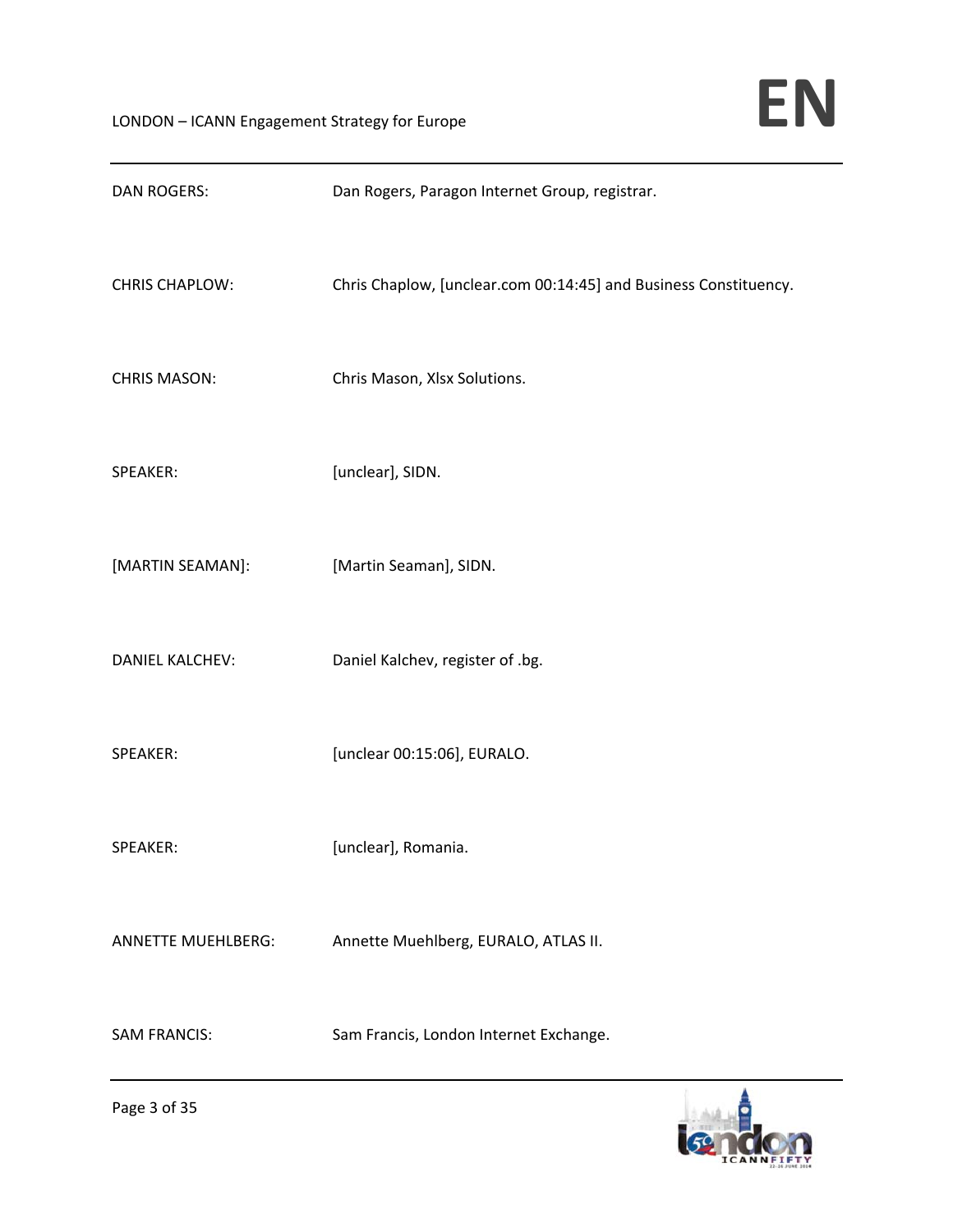| <b>DAN ROGERS:</b>        | Dan Rogers, Paragon Internet Group, registrar.                   |
|---------------------------|------------------------------------------------------------------|
| <b>CHRIS CHAPLOW:</b>     | Chris Chaplow, [unclear.com 00:14:45] and Business Constituency. |
| <b>CHRIS MASON:</b>       | Chris Mason, Xlsx Solutions.                                     |
| SPEAKER:                  | [unclear], SIDN.                                                 |
| [MARTIN SEAMAN]:          | [Martin Seaman], SIDN.                                           |
| <b>DANIEL KALCHEV:</b>    | Daniel Kalchev, register of .bg.                                 |
| SPEAKER:                  | [unclear 00:15:06], EURALO.                                      |
| SPEAKER:                  | [unclear], Romania.                                              |
| <b>ANNETTE MUEHLBERG:</b> | Annette Muehlberg, EURALO, ATLAS II.                             |
| <b>SAM FRANCIS:</b>       | Sam Francis, London Internet Exchange.                           |

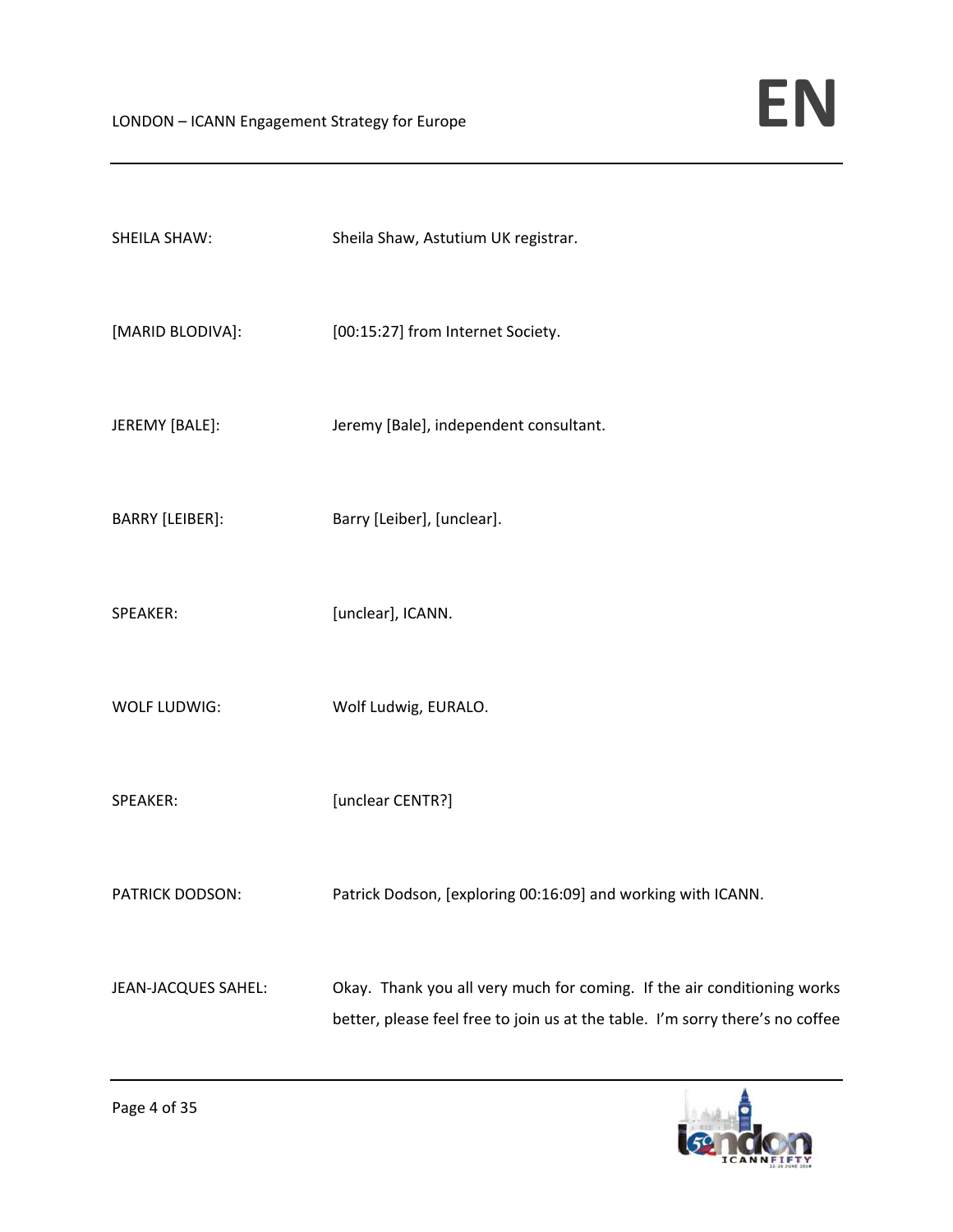| <b>SHEILA SHAW:</b>    | Sheila Shaw, Astutium UK registrar.                                                                                                                      |
|------------------------|----------------------------------------------------------------------------------------------------------------------------------------------------------|
| [MARID BLODIVA]:       | [00:15:27] from Internet Society.                                                                                                                        |
| JEREMY [BALE]:         | Jeremy [Bale], independent consultant.                                                                                                                   |
| <b>BARRY [LEIBER]:</b> | Barry [Leiber], [unclear].                                                                                                                               |
| SPEAKER:               | [unclear], ICANN.                                                                                                                                        |
| WOLF LUDWIG:           | Wolf Ludwig, EURALO.                                                                                                                                     |
| SPEAKER:               | [unclear CENTR?]                                                                                                                                         |
| <b>PATRICK DODSON:</b> | Patrick Dodson, [exploring 00:16:09] and working with ICANN.                                                                                             |
| JEAN-JACQUES SAHEL:    | Okay. Thank you all very much for coming. If the air conditioning works<br>better, please feel free to join us at the table. I'm sorry there's no coffee |

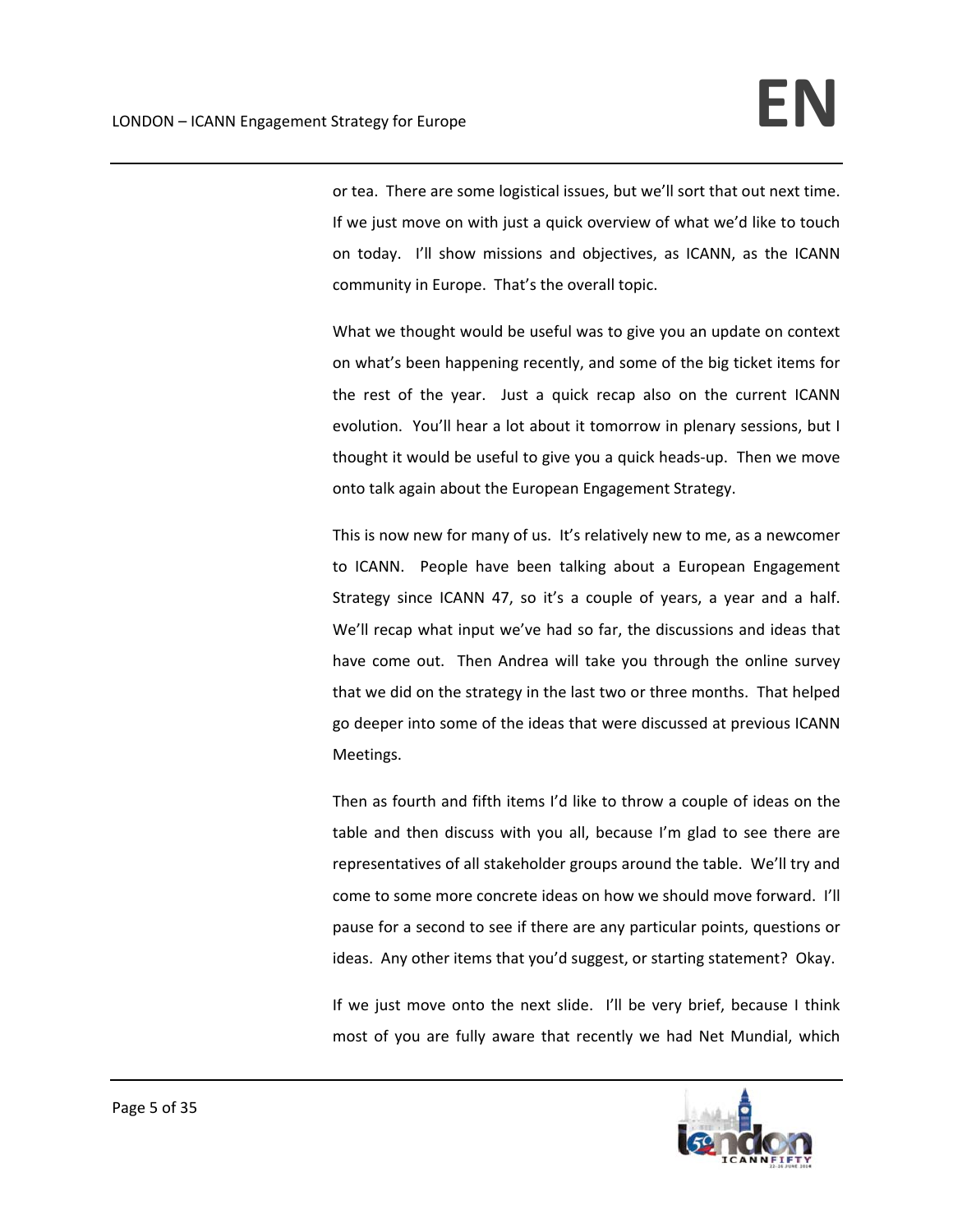or tea. There are some logistical issues, but we'll sort that out next time. If we just move on with just a quick overview of what we'd like to touch on today. I'll show missions and objectives, as ICANN, as the ICANN community in Europe. That's the overall topic.

What we thought would be useful was to give you an update on context on what's been happening recently, and some of the big ticket items for the rest of the year. Just a quick recap also on the current ICANN evolution. You'll hear a lot about it tomorrow in plenary sessions, but I thought it would be useful to give you a quick heads‐up. Then we move onto talk again about the European Engagement Strategy.

This is now new for many of us. It's relatively new to me, as a newcomer to ICANN. People have been talking about a European Engagement Strategy since ICANN 47, so it's a couple of years, a year and a half. We'll recap what input we've had so far, the discussions and ideas that have come out. Then Andrea will take you through the online survey that we did on the strategy in the last two or three months. That helped go deeper into some of the ideas that were discussed at previous ICANN Meetings.

Then as fourth and fifth items I'd like to throw a couple of ideas on the table and then discuss with you all, because I'm glad to see there are representatives of all stakeholder groups around the table. We'll try and come to some more concrete ideas on how we should move forward. I'll pause for a second to see if there are any particular points, questions or ideas. Any other items that you'd suggest, or starting statement? Okay.

If we just move onto the next slide. I'll be very brief, because I think most of you are fully aware that recently we had Net Mundial, which

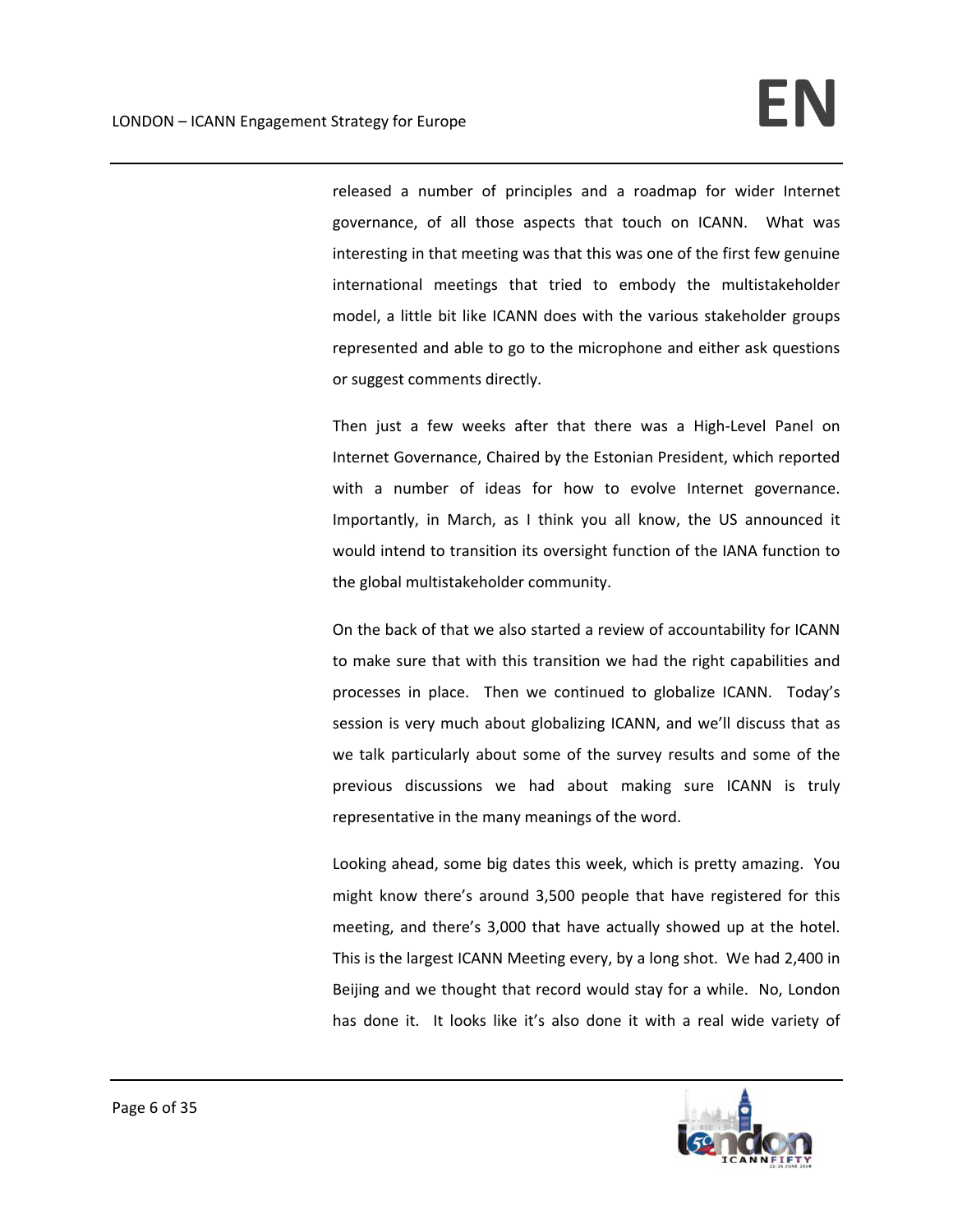released a number of principles and a roadmap for wider Internet governance, of all those aspects that touch on ICANN. What was interesting in that meeting was that this was one of the first few genuine international meetings that tried to embody the multistakeholder model, a little bit like ICANN does with the various stakeholder groups represented and able to go to the microphone and either ask questions or suggest comments directly.

Then just a few weeks after that there was a High-Level Panel on Internet Governance, Chaired by the Estonian President, which reported with a number of ideas for how to evolve Internet governance. Importantly, in March, as I think you all know, the US announced it would intend to transition its oversight function of the IANA function to the global multistakeholder community.

On the back of that we also started a review of accountability for ICANN to make sure that with this transition we had the right capabilities and processes in place. Then we continued to globalize ICANN. Today's session is very much about globalizing ICANN, and we'll discuss that as we talk particularly about some of the survey results and some of the previous discussions we had about making sure ICANN is truly representative in the many meanings of the word.

Looking ahead, some big dates this week, which is pretty amazing. You might know there's around 3,500 people that have registered for this meeting, and there's 3,000 that have actually showed up at the hotel. This is the largest ICANN Meeting every, by a long shot. We had 2,400 in Beijing and we thought that record would stay for a while. No, London has done it. It looks like it's also done it with a real wide variety of

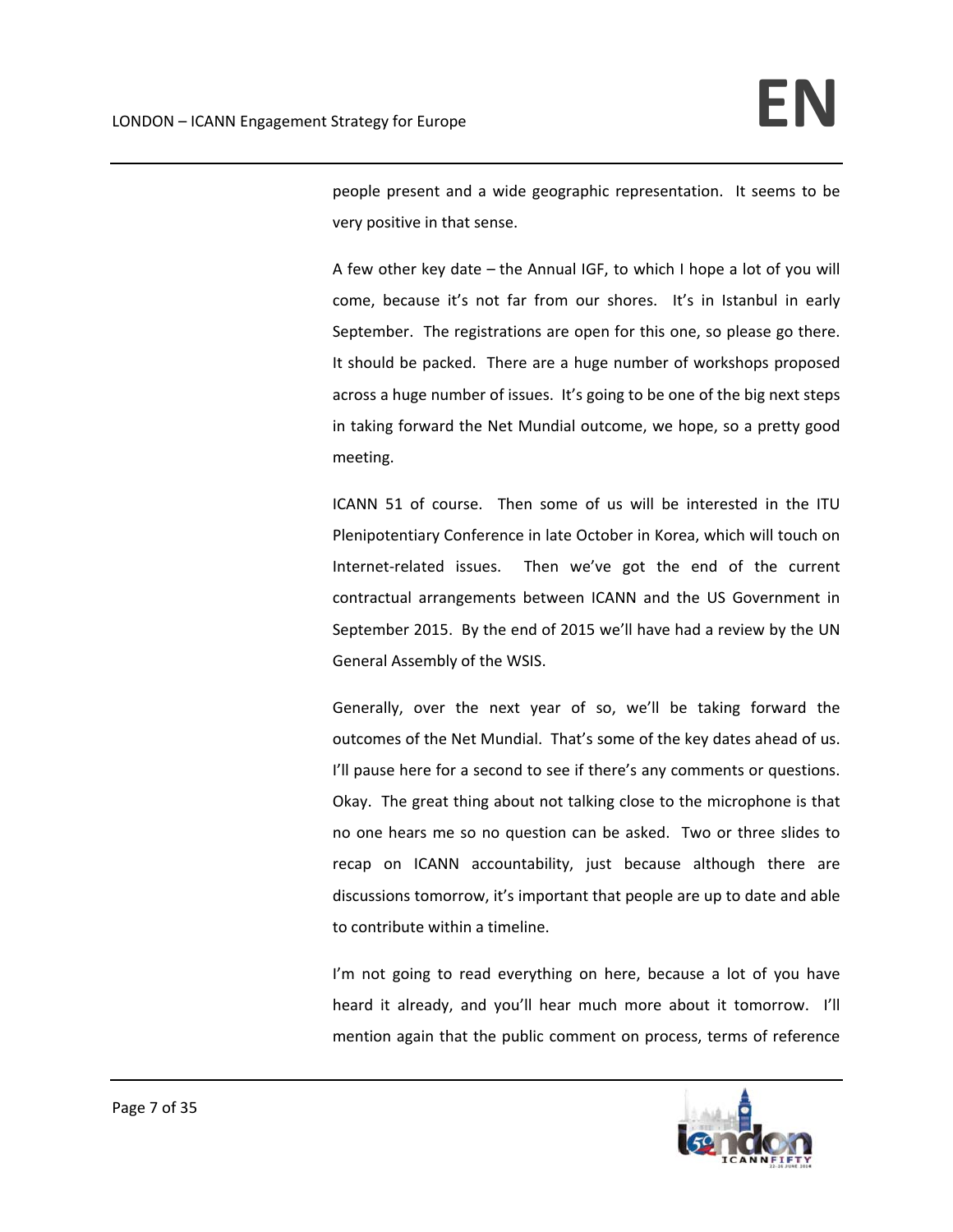people present and a wide geographic representation. It seems to be very positive in that sense.

A few other key date – the Annual IGF, to which I hope a lot of you will come, because it's not far from our shores. It's in Istanbul in early September. The registrations are open for this one, so please go there. It should be packed. There are a huge number of workshops proposed across a huge number of issues. It's going to be one of the big next steps in taking forward the Net Mundial outcome, we hope, so a pretty good meeting.

ICANN 51 of course. Then some of us will be interested in the ITU Plenipotentiary Conference in late October in Korea, which will touch on Internet-related issues. Then we've got the end of the current contractual arrangements between ICANN and the US Government in September 2015. By the end of 2015 we'll have had a review by the UN General Assembly of the WSIS.

Generally, over the next year of so, we'll be taking forward the outcomes of the Net Mundial. That's some of the key dates ahead of us. I'll pause here for a second to see if there's any comments or questions. Okay. The great thing about not talking close to the microphone is that no one hears me so no question can be asked. Two or three slides to recap on ICANN accountability, just because although there are discussions tomorrow, it's important that people are up to date and able to contribute within a timeline.

I'm not going to read everything on here, because a lot of you have heard it already, and you'll hear much more about it tomorrow. I'll mention again that the public comment on process, terms of reference

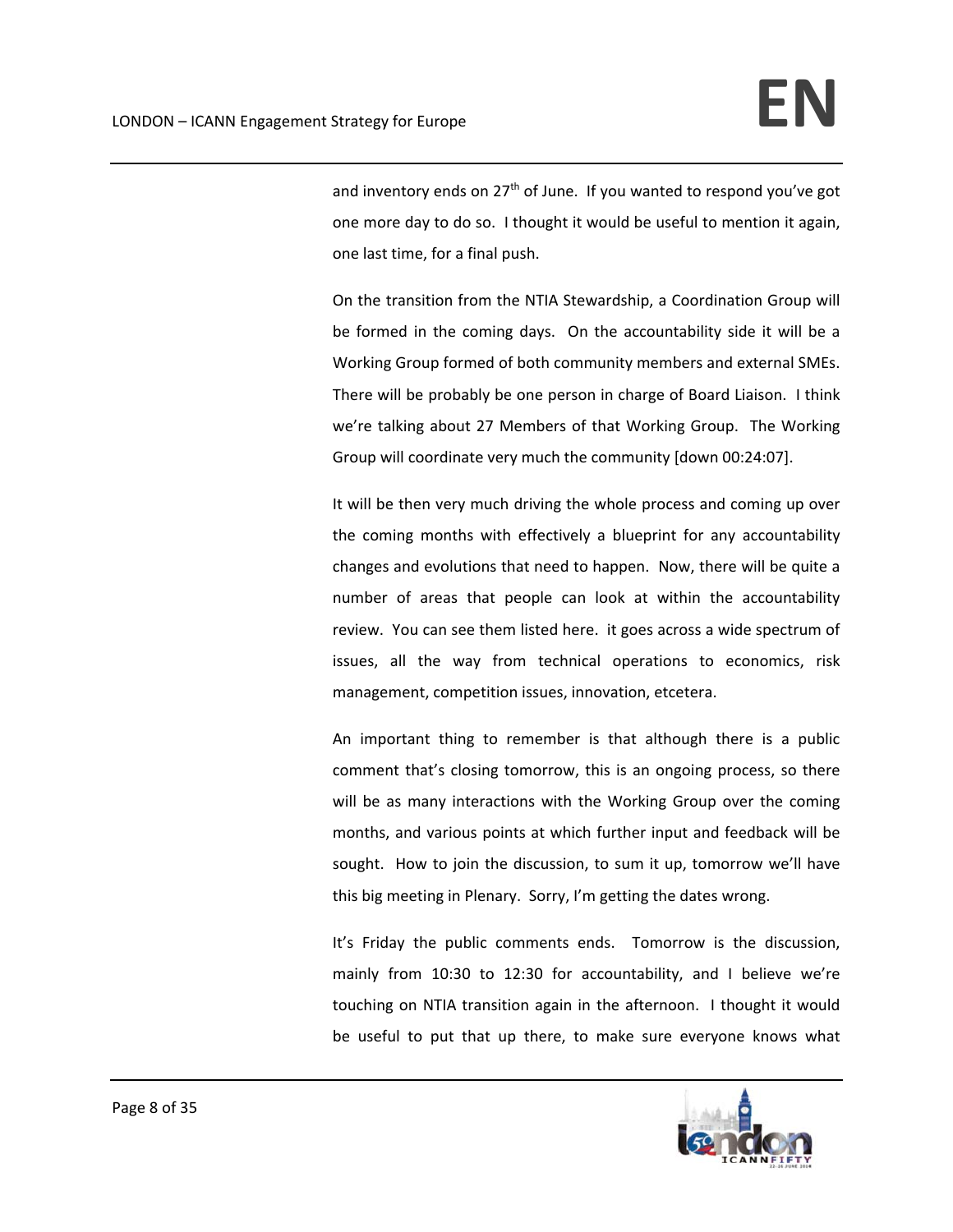and inventory ends on  $27<sup>th</sup>$  of June. If you wanted to respond you've got one more day to do so. I thought it would be useful to mention it again, one last time, for a final push.

On the transition from the NTIA Stewardship, a Coordination Group will be formed in the coming days. On the accountability side it will be a Working Group formed of both community members and external SMEs. There will be probably be one person in charge of Board Liaison. I think we're talking about 27 Members of that Working Group. The Working Group will coordinate very much the community [down 00:24:07].

It will be then very much driving the whole process and coming up over the coming months with effectively a blueprint for any accountability changes and evolutions that need to happen. Now, there will be quite a number of areas that people can look at within the accountability review. You can see them listed here. it goes across a wide spectrum of issues, all the way from technical operations to economics, risk management, competition issues, innovation, etcetera.

An important thing to remember is that although there is a public comment that's closing tomorrow, this is an ongoing process, so there will be as many interactions with the Working Group over the coming months, and various points at which further input and feedback will be sought. How to join the discussion, to sum it up, tomorrow we'll have this big meeting in Plenary. Sorry, I'm getting the dates wrong.

It's Friday the public comments ends. Tomorrow is the discussion, mainly from 10:30 to 12:30 for accountability, and I believe we're touching on NTIA transition again in the afternoon. I thought it would be useful to put that up there, to make sure everyone knows what

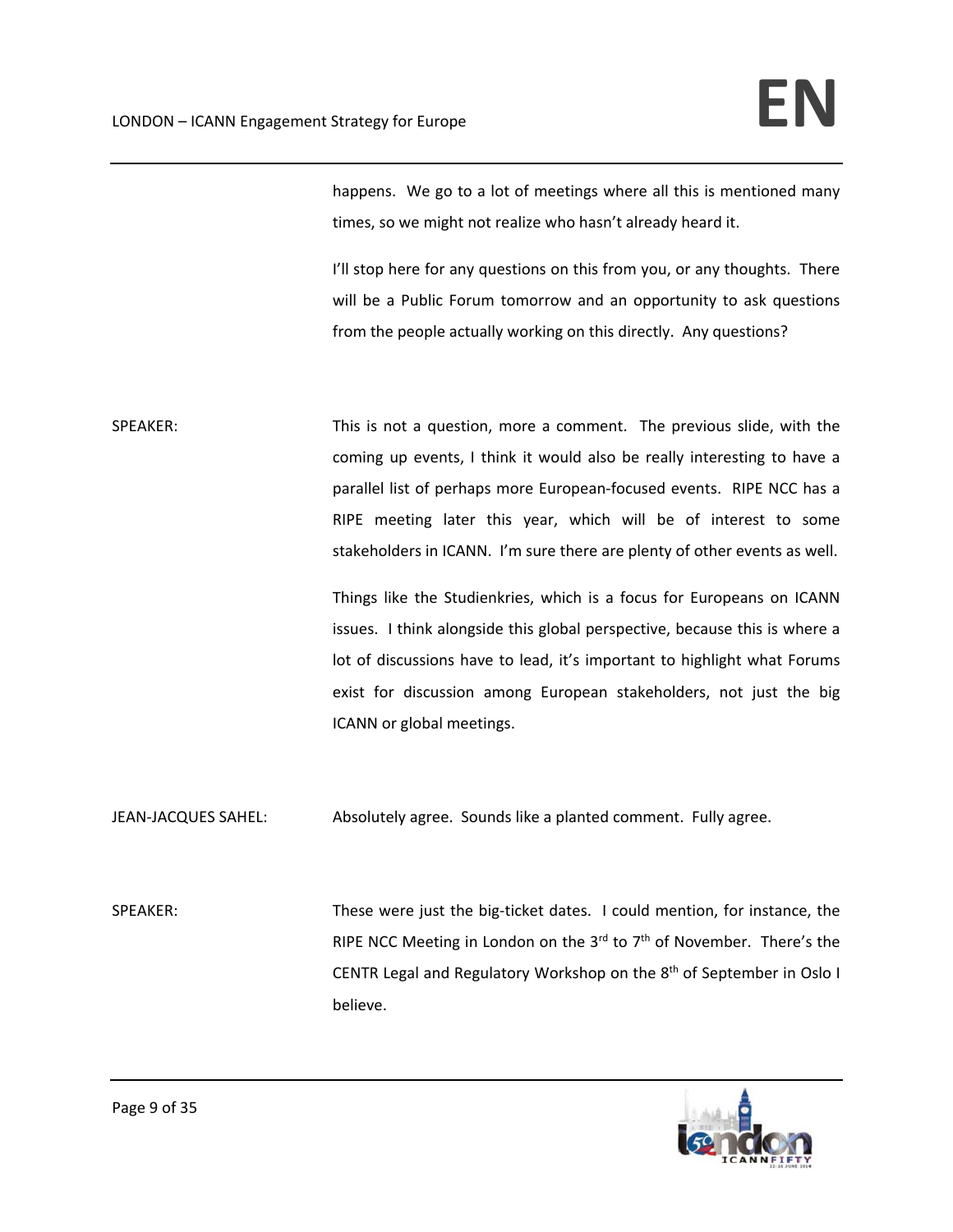happens. We go to a lot of meetings where all this is mentioned many times, so we might not realize who hasn't already heard it.

I'll stop here for any questions on this from you, or any thoughts. There will be a Public Forum tomorrow and an opportunity to ask questions from the people actually working on this directly. Any questions?

SPEAKER: This is not a question, more a comment. The previous slide, with the coming up events, I think it would also be really interesting to have a parallel list of perhaps more European-focused events. RIPE NCC has a RIPE meeting later this year, which will be of interest to some stakeholders in ICANN. I'm sure there are plenty of other events as well.

> Things like the Studienkries, which is a focus for Europeans on ICANN issues. I think alongside this global perspective, because this is where a lot of discussions have to lead, it's important to highlight what Forums exist for discussion among European stakeholders, not just the big ICANN or global meetings.

JEAN‐JACQUES SAHEL: Absolutely agree. Sounds like a planted comment. Fully agree.

SPEAKER: These were just the big-ticket dates. I could mention, for instance, the RIPE NCC Meeting in London on the 3<sup>rd</sup> to  $7<sup>th</sup>$  of November. There's the CENTR Legal and Regulatory Workshop on the  $8<sup>th</sup>$  of September in Oslo I believe.

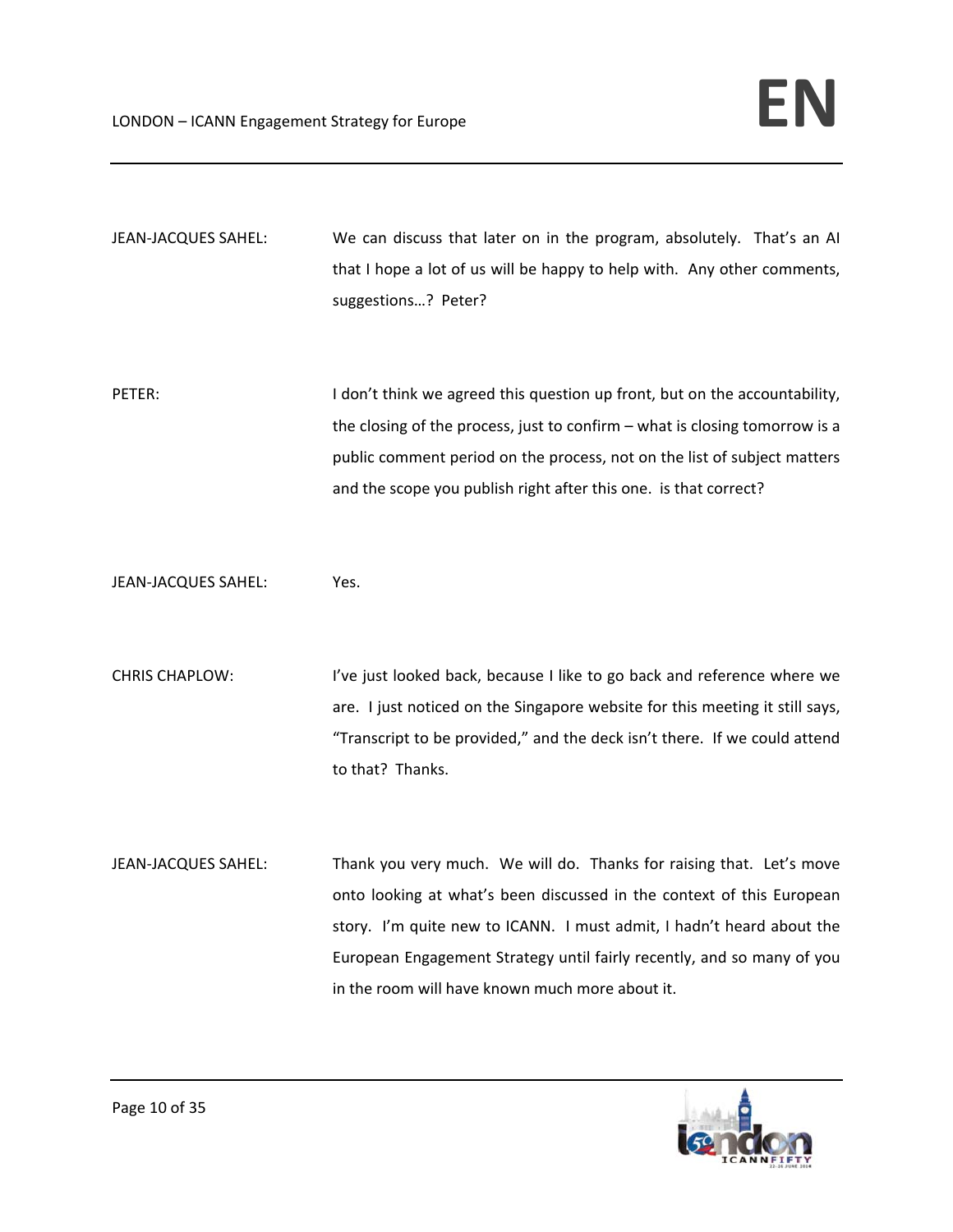| JEAN-JACQUES SAHEL:   | We can discuss that later on in the program, absolutely. That's an AI<br>that I hope a lot of us will be happy to help with. Any other comments,<br>suggestions? Peter?                                                                                                                                     |
|-----------------------|-------------------------------------------------------------------------------------------------------------------------------------------------------------------------------------------------------------------------------------------------------------------------------------------------------------|
| PETER:                | I don't think we agreed this question up front, but on the accountability,<br>the closing of the process, just to confirm $-$ what is closing tomorrow is a<br>public comment period on the process, not on the list of subject matters<br>and the scope you publish right after this one. is that correct? |
| JEAN-JACQUES SAHEL:   | Yes.                                                                                                                                                                                                                                                                                                        |
| <b>CHRIS CHAPLOW:</b> | I've just looked back, because I like to go back and reference where we<br>are. I just noticed on the Singapore website for this meeting it still says,<br>"Transcript to be provided," and the deck isn't there. If we could attend<br>to that? Thanks.                                                    |
| JEAN-JACQUES SAHEL:   | Thank you very much. We will do. Thanks for raising that. Let's move<br>onto looking at what's been discussed in the context of this European<br>story. I'm quite new to ICANN. I must admit, I hadn't heard about the<br>European Engagement Strategy until fairly recently, and so many of you            |

in the room will have known much more about it.

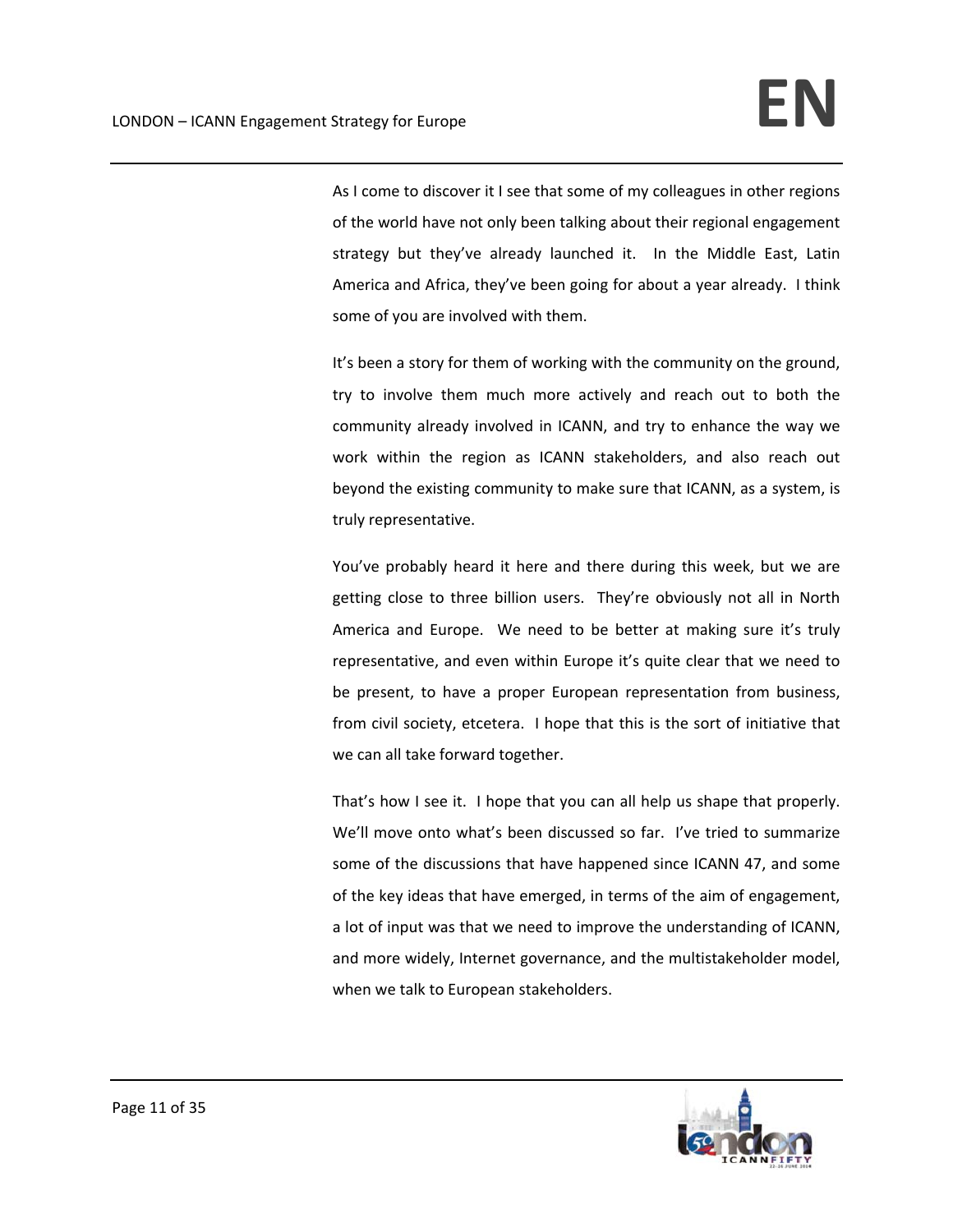As I come to discover it I see that some of my colleagues in other regions of the world have not only been talking about their regional engagement strategy but they've already launched it. In the Middle East, Latin America and Africa, they've been going for about a year already. I think some of you are involved with them.

It's been a story for them of working with the community on the ground, try to involve them much more actively and reach out to both the community already involved in ICANN, and try to enhance the way we work within the region as ICANN stakeholders, and also reach out beyond the existing community to make sure that ICANN, as a system, is truly representative.

You've probably heard it here and there during this week, but we are getting close to three billion users. They're obviously not all in North America and Europe. We need to be better at making sure it's truly representative, and even within Europe it's quite clear that we need to be present, to have a proper European representation from business, from civil society, etcetera. I hope that this is the sort of initiative that we can all take forward together.

That's how I see it. I hope that you can all help us shape that properly. We'll move onto what's been discussed so far. I've tried to summarize some of the discussions that have happened since ICANN 47, and some of the key ideas that have emerged, in terms of the aim of engagement, a lot of input was that we need to improve the understanding of ICANN, and more widely, Internet governance, and the multistakeholder model, when we talk to European stakeholders.

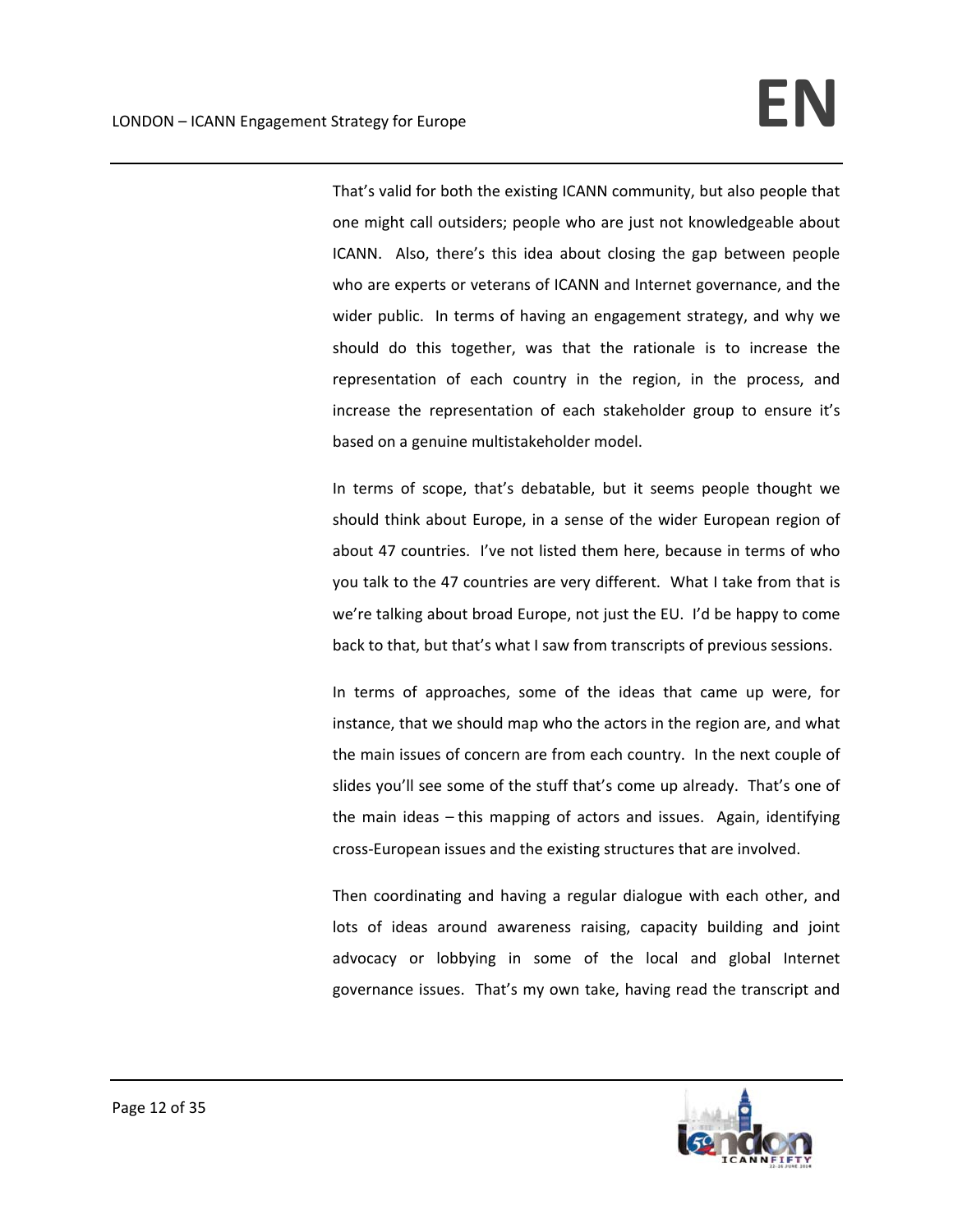That's valid for both the existing ICANN community, but also people that one might call outsiders; people who are just not knowledgeable about ICANN. Also, there's this idea about closing the gap between people who are experts or veterans of ICANN and Internet governance, and the wider public. In terms of having an engagement strategy, and why we should do this together, was that the rationale is to increase the representation of each country in the region, in the process, and increase the representation of each stakeholder group to ensure it's based on a genuine multistakeholder model.

In terms of scope, that's debatable, but it seems people thought we should think about Europe, in a sense of the wider European region of about 47 countries. I've not listed them here, because in terms of who you talk to the 47 countries are very different. What I take from that is we're talking about broad Europe, not just the EU. I'd be happy to come back to that, but that's what I saw from transcripts of previous sessions.

In terms of approaches, some of the ideas that came up were, for instance, that we should map who the actors in the region are, and what the main issues of concern are from each country. In the next couple of slides you'll see some of the stuff that's come up already. That's one of the main ideas – this mapping of actors and issues. Again, identifying cross‐European issues and the existing structures that are involved.

Then coordinating and having a regular dialogue with each other, and lots of ideas around awareness raising, capacity building and joint advocacy or lobbying in some of the local and global Internet governance issues. That's my own take, having read the transcript and

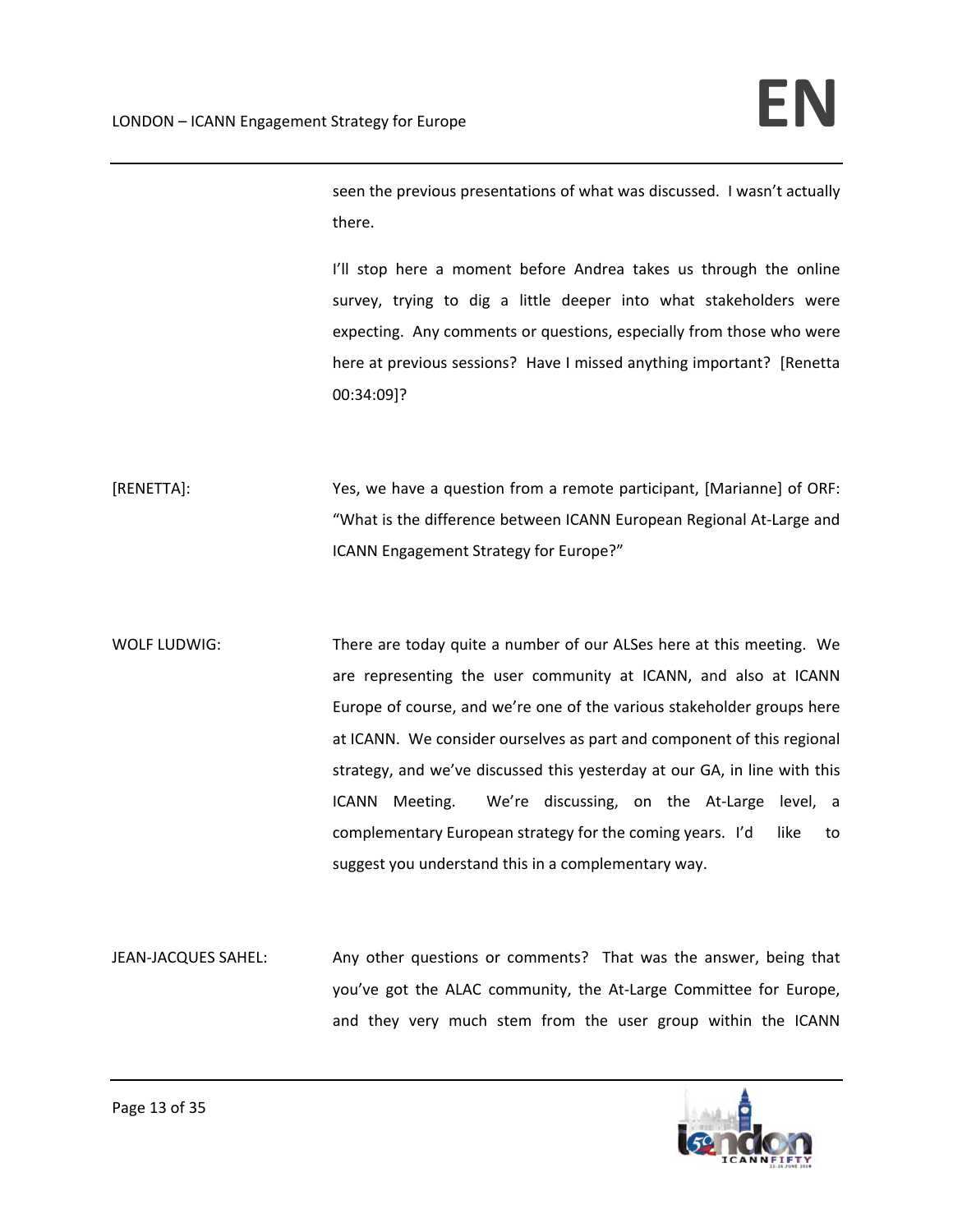seen the previous presentations of what was discussed. I wasn't actually there.

I'll stop here a moment before Andrea takes us through the online survey, trying to dig a little deeper into what stakeholders were expecting. Any comments or questions, especially from those who were here at previous sessions? Have I missed anything important? [Renetta 00:34:09]?

[RENETTA]: Yes, we have a question from a remote participant, [Marianne] of ORF: "What is the difference between ICANN European Regional At‐Large and ICANN Engagement Strategy for Europe?"

WOLF LUDWIG: There are today quite a number of our ALSes here at this meeting. We are representing the user community at ICANN, and also at ICANN Europe of course, and we're one of the various stakeholder groups here at ICANN. We consider ourselves as part and component of this regional strategy, and we've discussed this yesterday at our GA, in line with this ICANN Meeting. We're discussing, on the At-Large level, a complementary European strategy for the coming years. I'd like to suggest you understand this in a complementary way.

JEAN-JACQUES SAHEL: Any other questions or comments? That was the answer, being that you've got the ALAC community, the At‐Large Committee for Europe, and they very much stem from the user group within the ICANN

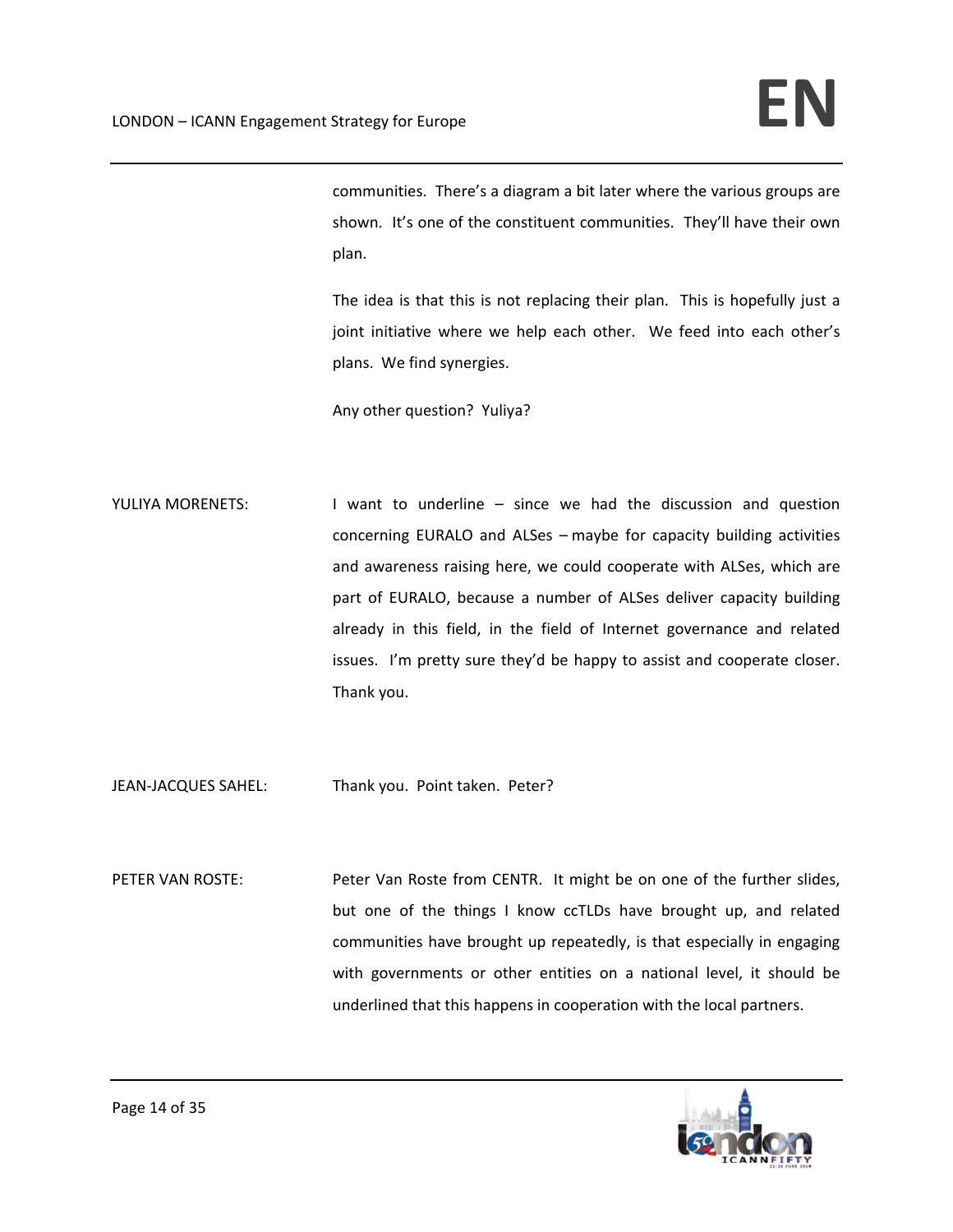communities. There's a diagram a bit later where the various groups are shown. It's one of the constituent communities. They'll have their own plan.

The idea is that this is not replacing their plan. This is hopefully just a joint initiative where we help each other. We feed into each other's plans. We find synergies.

Any other question? Yuliya?

YULIYA MORENETS: I want to underline – since we had the discussion and question concerning EURALO and ALSes – maybe for capacity building activities and awareness raising here, we could cooperate with ALSes, which are part of EURALO, because a number of ALSes deliver capacity building already in this field, in the field of Internet governance and related issues. I'm pretty sure they'd be happy to assist and cooperate closer. Thank you.

JEAN-JACQUES SAHEL: Thank you. Point taken. Peter?

PETER VAN ROSTE: Peter Van Roste from CENTR. It might be on one of the further slides, but one of the things I know ccTLDs have brought up, and related communities have brought up repeatedly, is that especially in engaging with governments or other entities on a national level, it should be underlined that this happens in cooperation with the local partners.

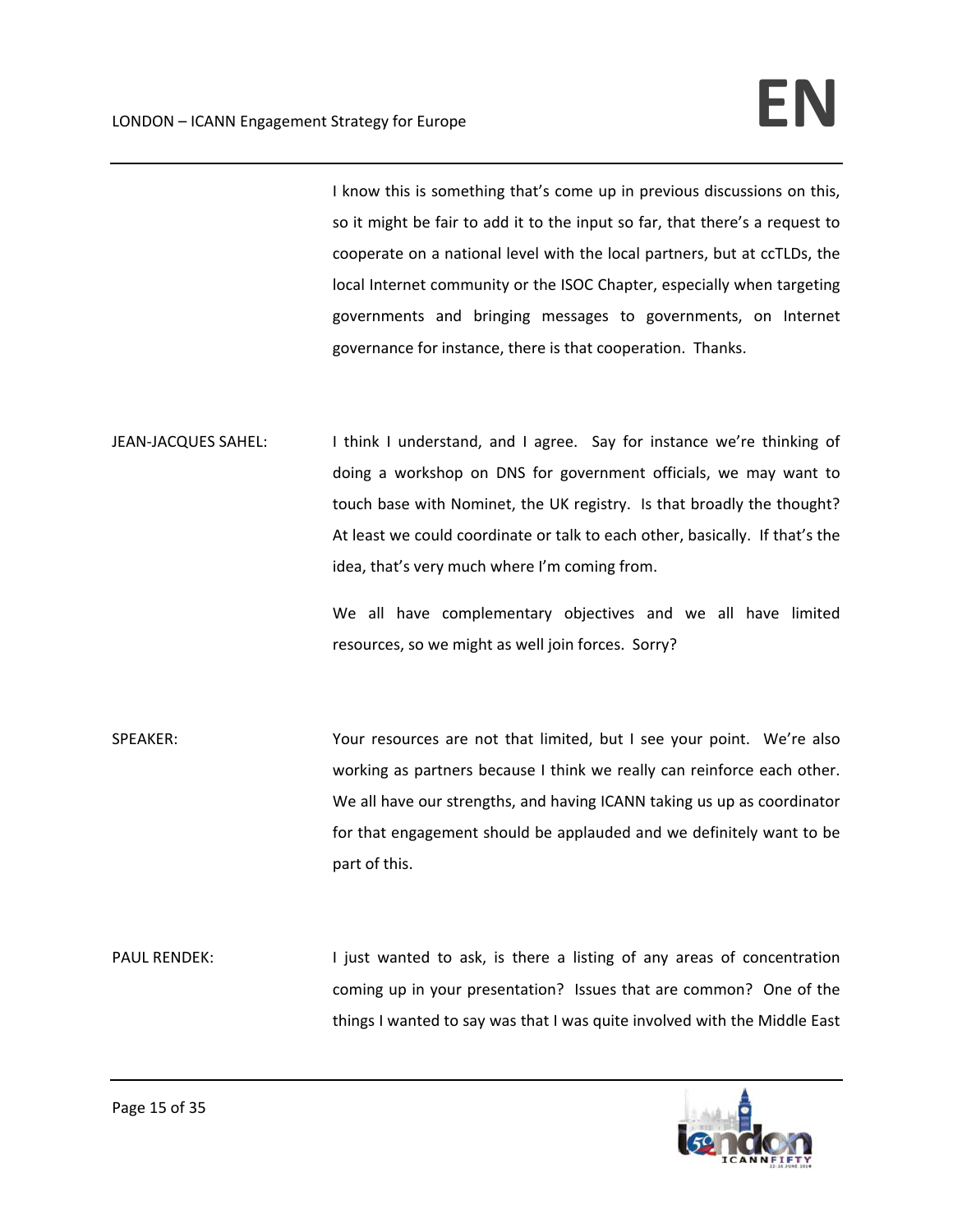I know this is something that's come up in previous discussions on this, so it might be fair to add it to the input so far, that there's a request to cooperate on a national level with the local partners, but at ccTLDs, the local Internet community or the ISOC Chapter, especially when targeting governments and bringing messages to governments, on Internet governance for instance, there is that cooperation. Thanks.

JEAN-JACQUES SAHEL: I think I understand, and I agree. Say for instance we're thinking of doing a workshop on DNS for government officials, we may want to touch base with Nominet, the UK registry. Is that broadly the thought? At least we could coordinate or talk to each other, basically. If that's the idea, that's very much where I'm coming from.

> We all have complementary objectives and we all have limited resources, so we might as well join forces. Sorry?

- SPEAKER: Your resources are not that limited, but I see your point. We're also working as partners because I think we really can reinforce each other. We all have our strengths, and having ICANN taking us up as coordinator for that engagement should be applauded and we definitely want to be part of this.
- PAUL RENDEK: I just wanted to ask, is there a listing of any areas of concentration coming up in your presentation? Issues that are common? One of the things I wanted to say was that I was quite involved with the Middle East

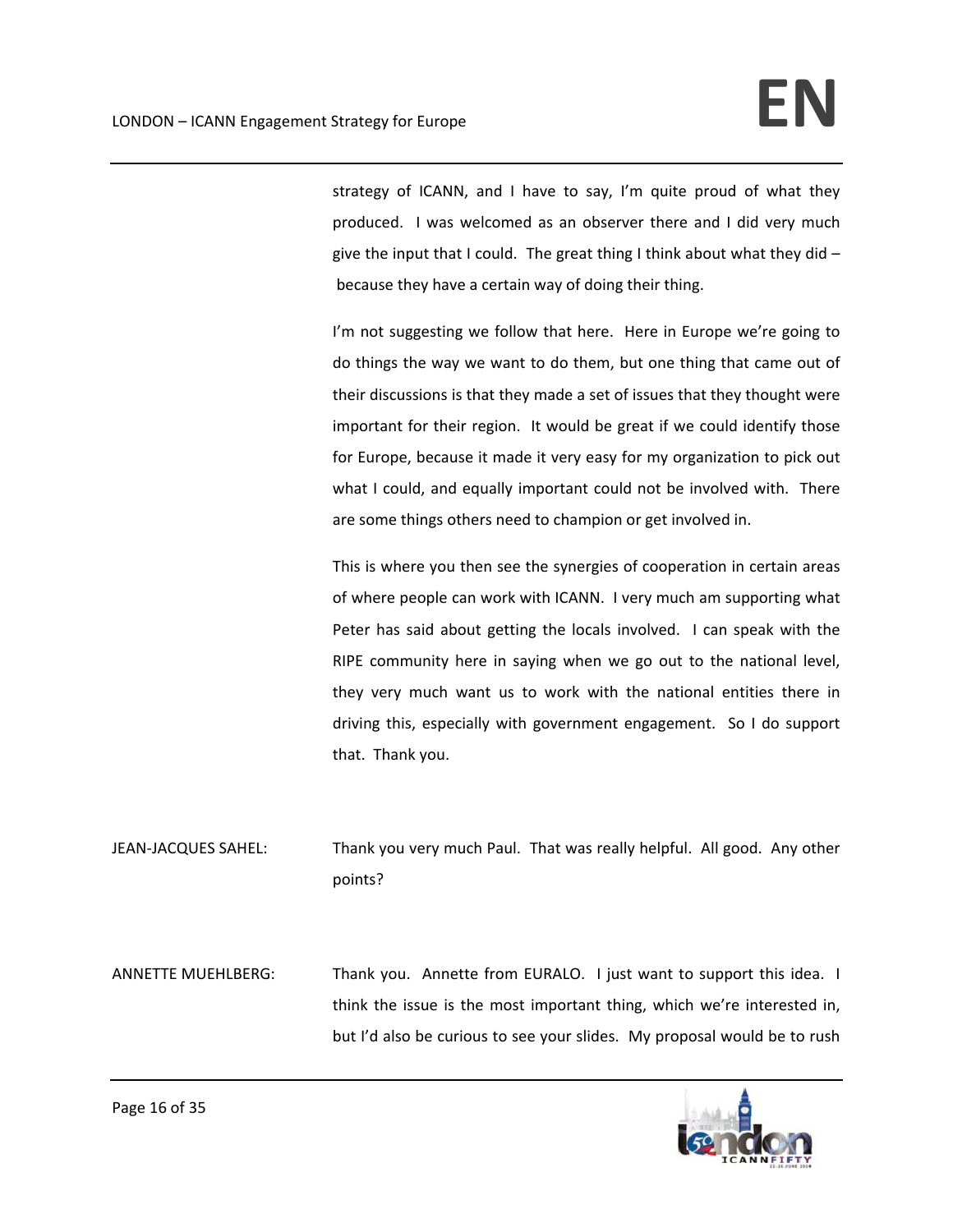strategy of ICANN, and I have to say, I'm quite proud of what they produced. I was welcomed as an observer there and I did very much give the input that I could. The great thing I think about what they did  $$ because they have a certain way of doing their thing.

I'm not suggesting we follow that here. Here in Europe we're going to do things the way we want to do them, but one thing that came out of their discussions is that they made a set of issues that they thought were important for their region. It would be great if we could identify those for Europe, because it made it very easy for my organization to pick out what I could, and equally important could not be involved with. There are some things others need to champion or get involved in.

This is where you then see the synergies of cooperation in certain areas of where people can work with ICANN. I very much am supporting what Peter has said about getting the locals involved. I can speak with the RIPE community here in saying when we go out to the national level, they very much want us to work with the national entities there in driving this, especially with government engagement. So I do support that. Thank you.

JEAN‐JACQUES SAHEL: Thank you very much Paul. That was really helpful. All good. Any other points?

ANNETTE MUEHLBERG: Thank you. Annette from EURALO. I just want to support this idea. I think the issue is the most important thing, which we're interested in, but I'd also be curious to see your slides. My proposal would be to rush

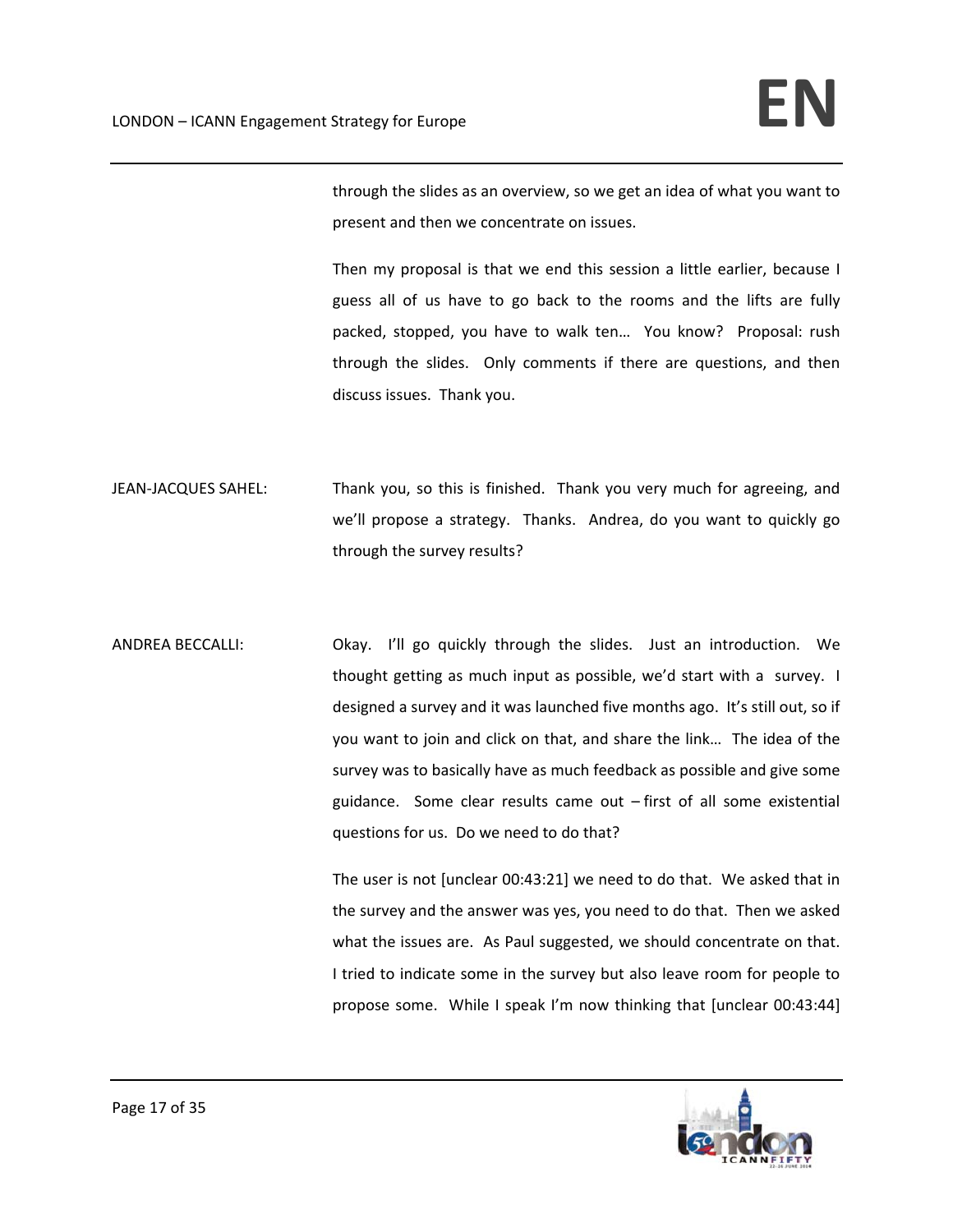through the slides as an overview, so we get an idea of what you want to present and then we concentrate on issues.

Then my proposal is that we end this session a little earlier, because I guess all of us have to go back to the rooms and the lifts are fully packed, stopped, you have to walk ten... You know? Proposal: rush through the slides. Only comments if there are questions, and then discuss issues. Thank you.

- JEAN-JACQUES SAHEL: Thank you, so this is finished. Thank you very much for agreeing, and we'll propose a strategy. Thanks. Andrea, do you want to quickly go through the survey results?
- ANDREA BECCALLI: Okay. I'll go quickly through the slides. Just an introduction. We thought getting as much input as possible, we'd start with a survey. I designed a survey and it was launched five months ago. It's still out, so if you want to join and click on that, and share the link… The idea of the survey was to basically have as much feedback as possible and give some guidance. Some clear results came out - first of all some existential questions for us. Do we need to do that?

The user is not [unclear 00:43:21] we need to do that. We asked that in the survey and the answer was yes, you need to do that. Then we asked what the issues are. As Paul suggested, we should concentrate on that. I tried to indicate some in the survey but also leave room for people to propose some. While I speak I'm now thinking that [unclear 00:43:44]

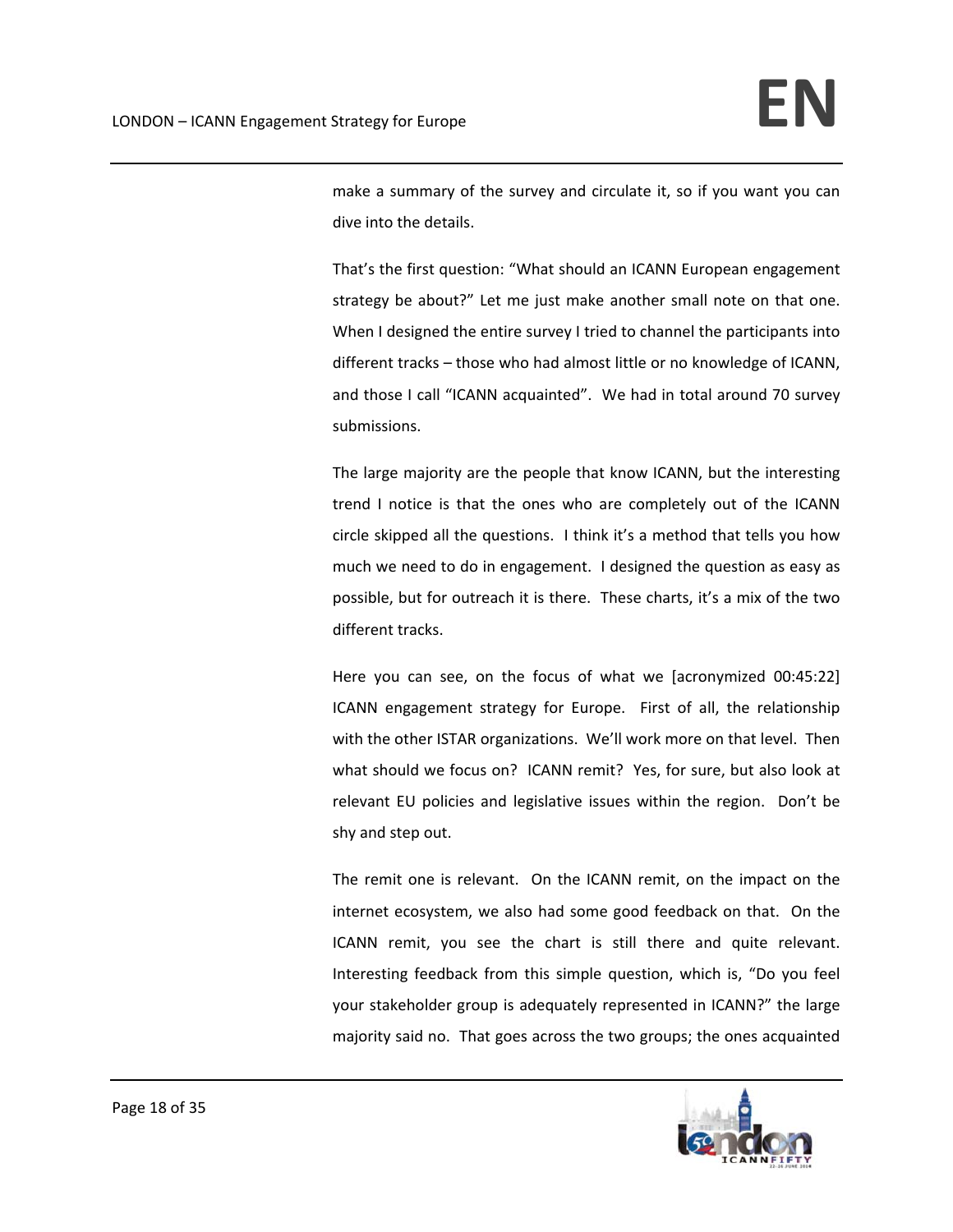make a summary of the survey and circulate it, so if you want you can dive into the details.

That's the first question: "What should an ICANN European engagement strategy be about?" Let me just make another small note on that one. When I designed the entire survey I tried to channel the participants into different tracks – those who had almost little or no knowledge of ICANN, and those I call "ICANN acquainted". We had in total around 70 survey submissions.

The large majority are the people that know ICANN, but the interesting trend I notice is that the ones who are completely out of the ICANN circle skipped all the questions. I think it's a method that tells you how much we need to do in engagement. I designed the question as easy as possible, but for outreach it is there. These charts, it's a mix of the two different tracks.

Here you can see, on the focus of what we [acronymized 00:45:22] ICANN engagement strategy for Europe. First of all, the relationship with the other ISTAR organizations. We'll work more on that level. Then what should we focus on? ICANN remit? Yes, for sure, but also look at relevant EU policies and legislative issues within the region. Don't be shy and step out.

The remit one is relevant. On the ICANN remit, on the impact on the internet ecosystem, we also had some good feedback on that. On the ICANN remit, you see the chart is still there and quite relevant. Interesting feedback from this simple question, which is, "Do you feel your stakeholder group is adequately represented in ICANN?" the large majority said no. That goes across the two groups; the ones acquainted

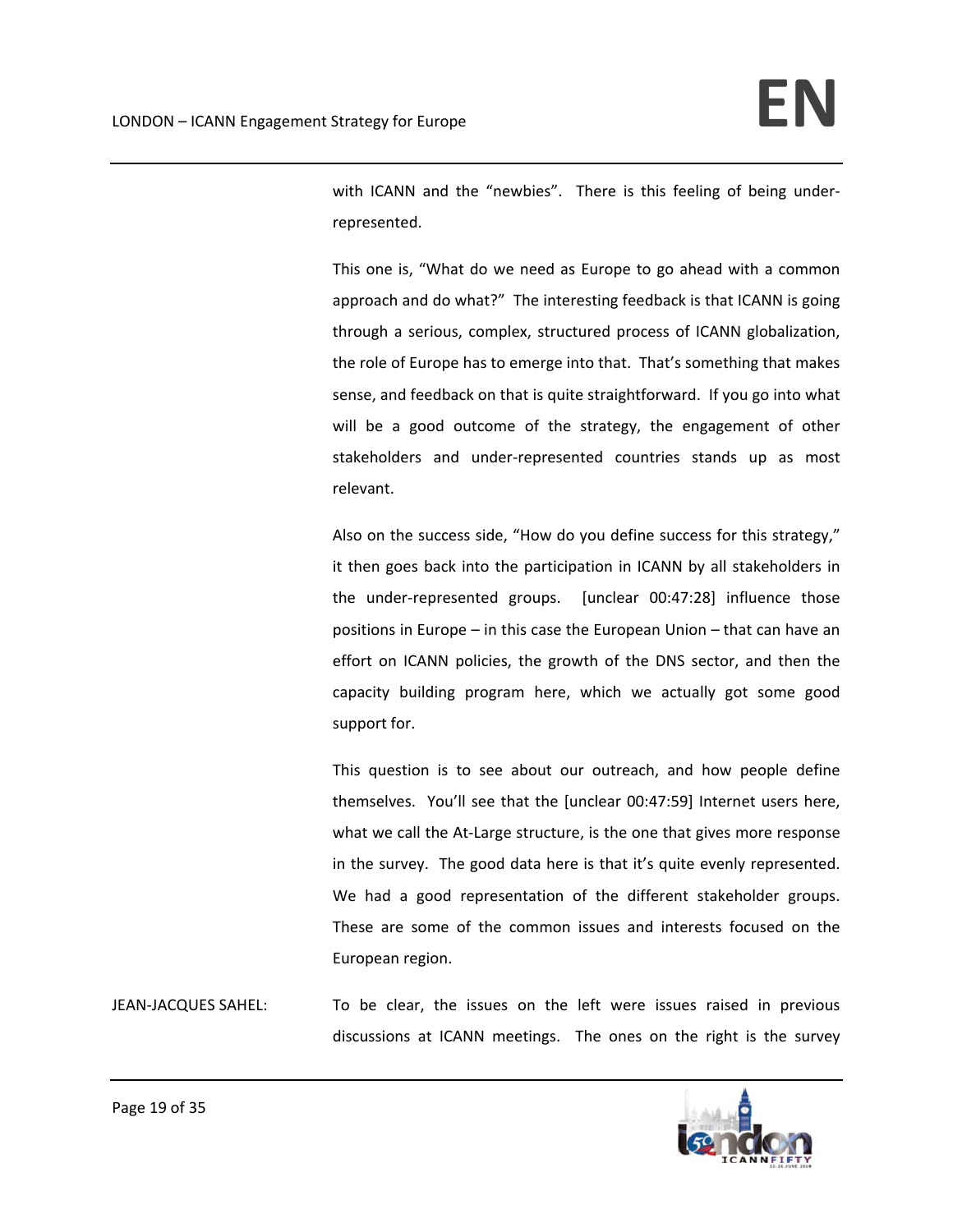with ICANN and the "newbies". There is this feeling of being underrepresented.

This one is, "What do we need as Europe to go ahead with a common approach and do what?" The interesting feedback is that ICANN is going through a serious, complex, structured process of ICANN globalization, the role of Europe has to emerge into that. That's something that makes sense, and feedback on that is quite straightforward. If you go into what will be a good outcome of the strategy, the engagement of other stakeholders and under‐represented countries stands up as most relevant.

Also on the success side, "How do you define success for this strategy," it then goes back into the participation in ICANN by all stakeholders in the under-represented groups. [unclear 00:47:28] influence those positions in Europe – in this case the European Union – that can have an effort on ICANN policies, the growth of the DNS sector, and then the capacity building program here, which we actually got some good support for.

This question is to see about our outreach, and how people define themselves. You'll see that the [unclear 00:47:59] Internet users here, what we call the At-Large structure, is the one that gives more response in the survey. The good data here is that it's quite evenly represented. We had a good representation of the different stakeholder groups. These are some of the common issues and interests focused on the European region.

JEAN‐JACQUES SAHEL: To be clear, the issues on the left were issues raised in previous discussions at ICANN meetings. The ones on the right is the survey

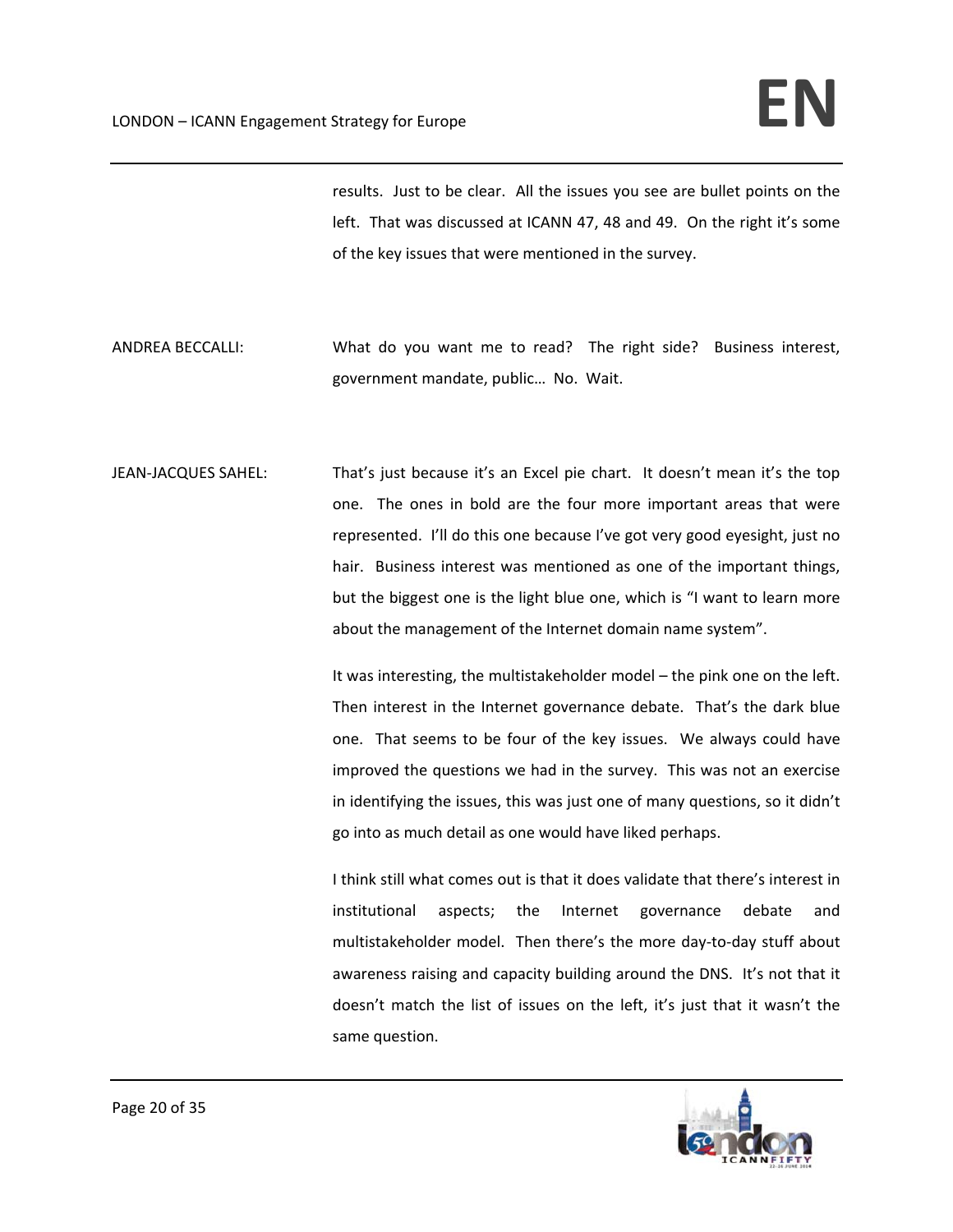results. Just to be clear. All the issues you see are bullet points on the left. That was discussed at ICANN 47, 48 and 49. On the right it's some of the key issues that were mentioned in the survey.

- ANDREA BECCALLI: What do you want me to read? The right side? Business interest, government mandate, public… No. Wait.
- JEAN‐JACQUES SAHEL: That's just because it's an Excel pie chart. It doesn't mean it's the top one. The ones in bold are the four more important areas that were represented. I'll do this one because I've got very good eyesight, just no hair. Business interest was mentioned as one of the important things, but the biggest one is the light blue one, which is "I want to learn more about the management of the Internet domain name system".

It was interesting, the multistakeholder model – the pink one on the left. Then interest in the Internet governance debate. That's the dark blue one. That seems to be four of the key issues. We always could have improved the questions we had in the survey. This was not an exercise in identifying the issues, this was just one of many questions, so it didn't go into as much detail as one would have liked perhaps.

I think still what comes out is that it does validate that there's interest in institutional aspects; the Internet governance debate and multistakeholder model. Then there's the more day‐to‐day stuff about awareness raising and capacity building around the DNS. It's not that it doesn't match the list of issues on the left, it's just that it wasn't the same question.

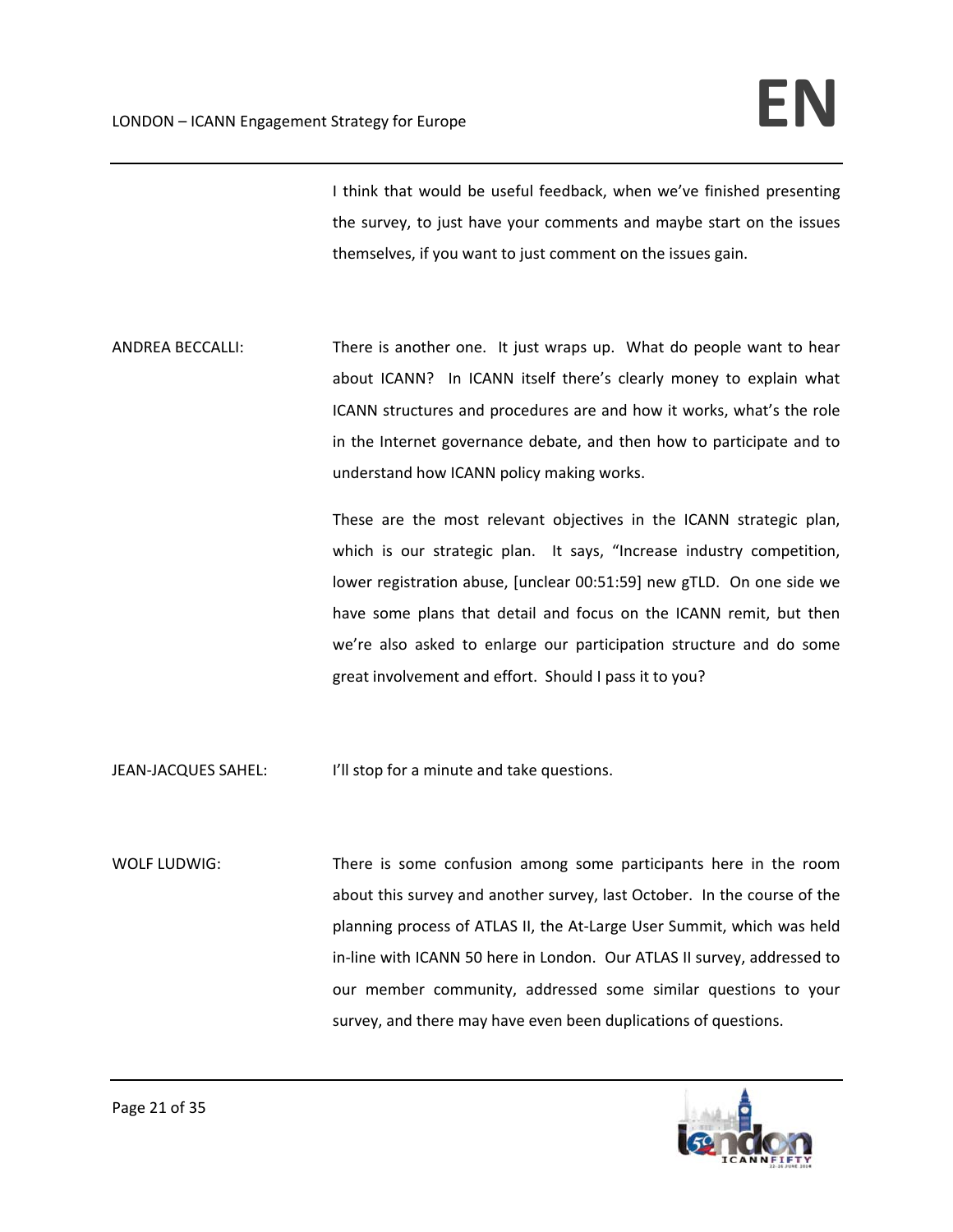I think that would be useful feedback, when we've finished presenting the survey, to just have your comments and maybe start on the issues themselves, if you want to just comment on the issues gain.

ANDREA BECCALLI: There is another one. It just wraps up. What do people want to hear about ICANN? In ICANN itself there's clearly money to explain what ICANN structures and procedures are and how it works, what's the role in the Internet governance debate, and then how to participate and to understand how ICANN policy making works.

> These are the most relevant objectives in the ICANN strategic plan, which is our strategic plan. It says, "Increase industry competition, lower registration abuse, [unclear 00:51:59] new gTLD. On one side we have some plans that detail and focus on the ICANN remit, but then we're also asked to enlarge our participation structure and do some great involvement and effort. Should I pass it to you?

JEAN-JACQUES SAHEL: I'll stop for a minute and take questions.

WOLF LUDWIG: There is some confusion among some participants here in the room about this survey and another survey, last October. In the course of the planning process of ATLAS II, the At‐Large User Summit, which was held in‐line with ICANN 50 here in London. Our ATLAS II survey, addressed to our member community, addressed some similar questions to your survey, and there may have even been duplications of questions.

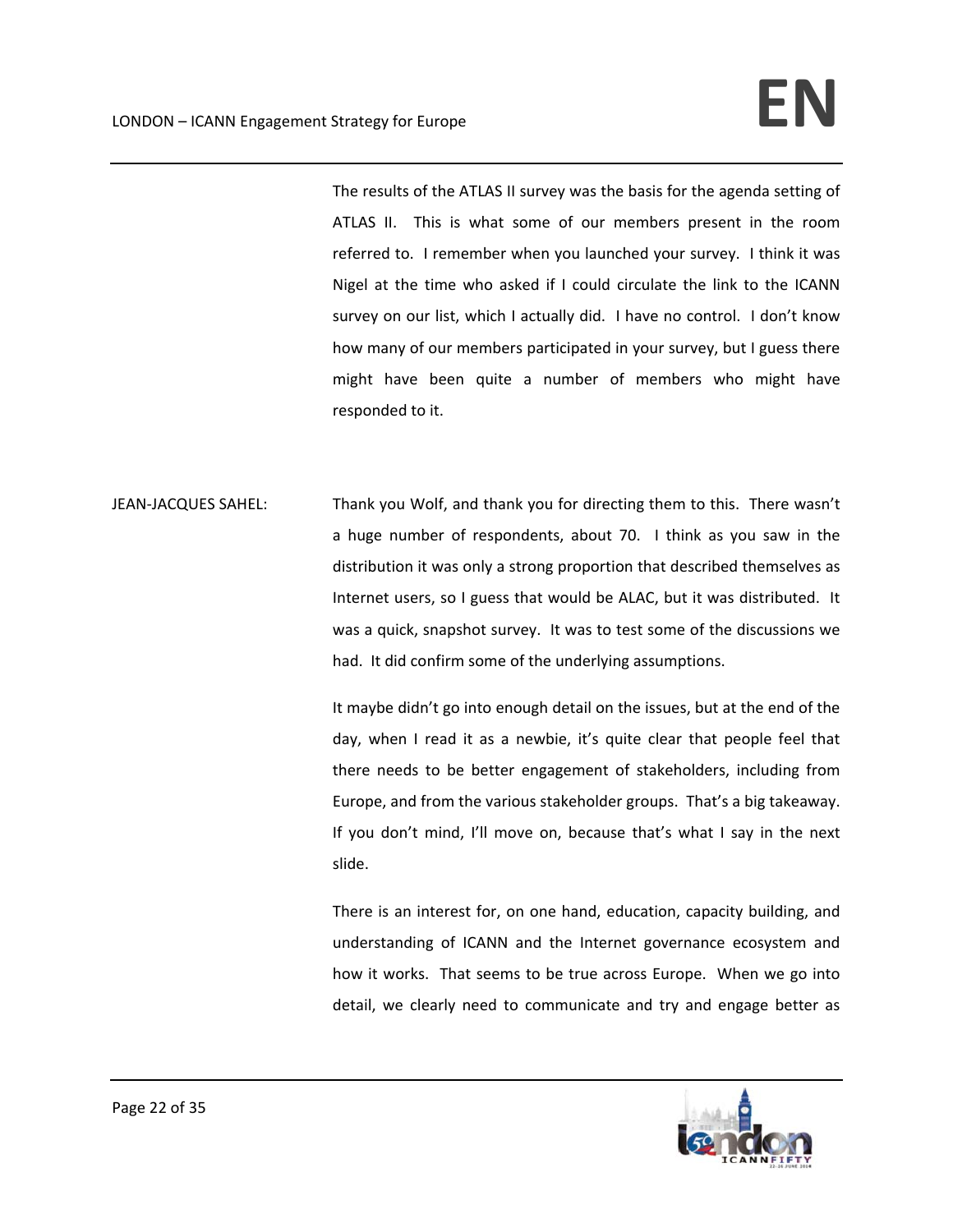The results of the ATLAS II survey was the basis for the agenda setting of ATLAS II. This is what some of our members present in the room referred to. I remember when you launched your survey. I think it was Nigel at the time who asked if I could circulate the link to the ICANN survey on our list, which I actually did. I have no control. I don't know how many of our members participated in your survey, but I guess there might have been quite a number of members who might have responded to it.

JEAN-JACQUES SAHEL: Thank you Wolf, and thank you for directing them to this. There wasn't a huge number of respondents, about 70. I think as you saw in the distribution it was only a strong proportion that described themselves as Internet users, so I guess that would be ALAC, but it was distributed. It was a quick, snapshot survey. It was to test some of the discussions we had. It did confirm some of the underlying assumptions.

> It maybe didn't go into enough detail on the issues, but at the end of the day, when I read it as a newbie, it's quite clear that people feel that there needs to be better engagement of stakeholders, including from Europe, and from the various stakeholder groups. That's a big takeaway. If you don't mind, I'll move on, because that's what I say in the next slide.

> There is an interest for, on one hand, education, capacity building, and understanding of ICANN and the Internet governance ecosystem and how it works. That seems to be true across Europe. When we go into detail, we clearly need to communicate and try and engage better as

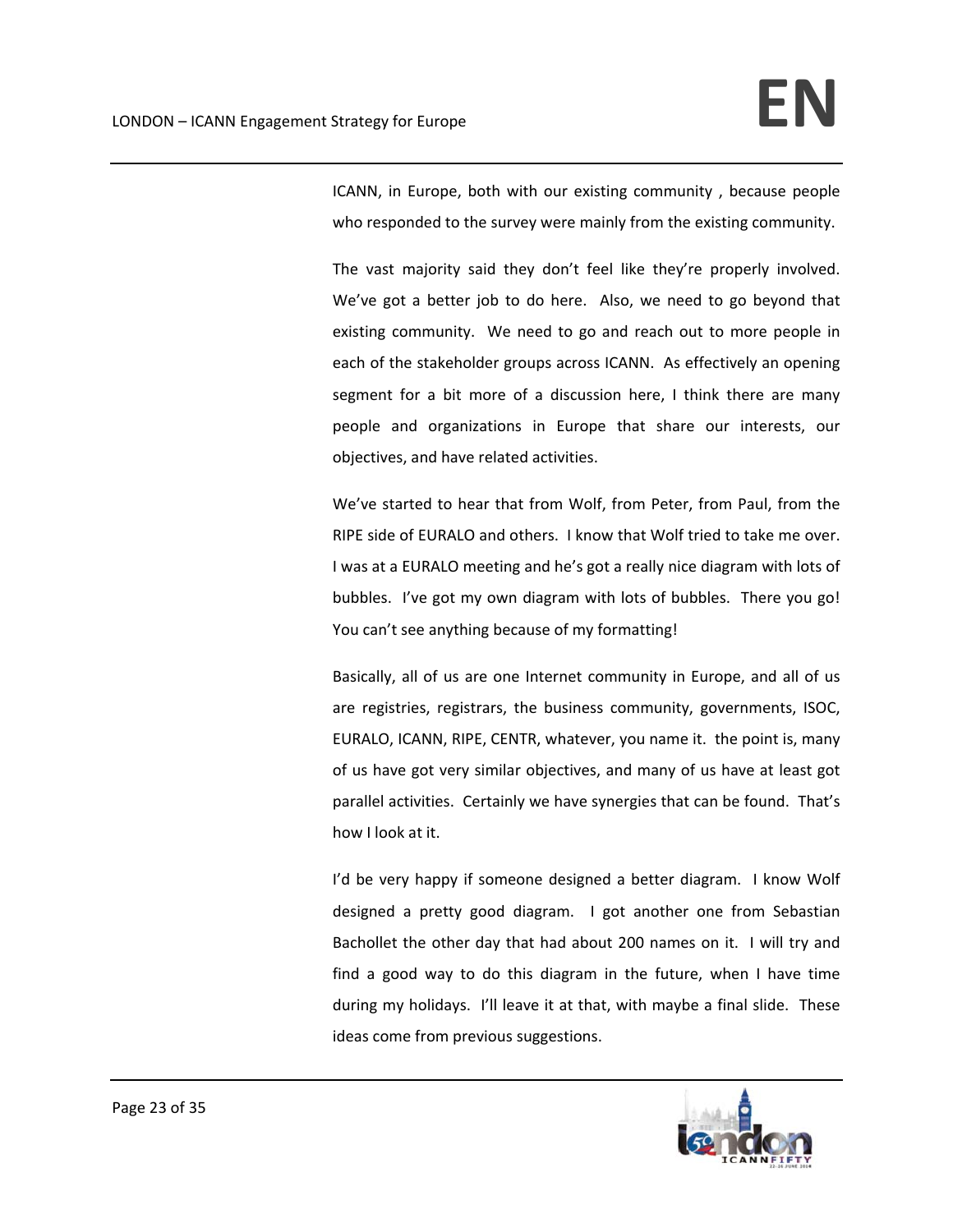ICANN, in Europe, both with our existing community , because people who responded to the survey were mainly from the existing community.

The vast majority said they don't feel like they're properly involved. We've got a better job to do here. Also, we need to go beyond that existing community. We need to go and reach out to more people in each of the stakeholder groups across ICANN. As effectively an opening segment for a bit more of a discussion here, I think there are many people and organizations in Europe that share our interests, our objectives, and have related activities.

We've started to hear that from Wolf, from Peter, from Paul, from the RIPE side of EURALO and others. I know that Wolf tried to take me over. I was at a EURALO meeting and he's got a really nice diagram with lots of bubbles. I've got my own diagram with lots of bubbles. There you go! You can't see anything because of my formatting!

Basically, all of us are one Internet community in Europe, and all of us are registries, registrars, the business community, governments, ISOC, EURALO, ICANN, RIPE, CENTR, whatever, you name it. the point is, many of us have got very similar objectives, and many of us have at least got parallel activities. Certainly we have synergies that can be found. That's how I look at it.

I'd be very happy if someone designed a better diagram. I know Wolf designed a pretty good diagram. I got another one from Sebastian Bachollet the other day that had about 200 names on it. I will try and find a good way to do this diagram in the future, when I have time during my holidays. I'll leave it at that, with maybe a final slide. These ideas come from previous suggestions.

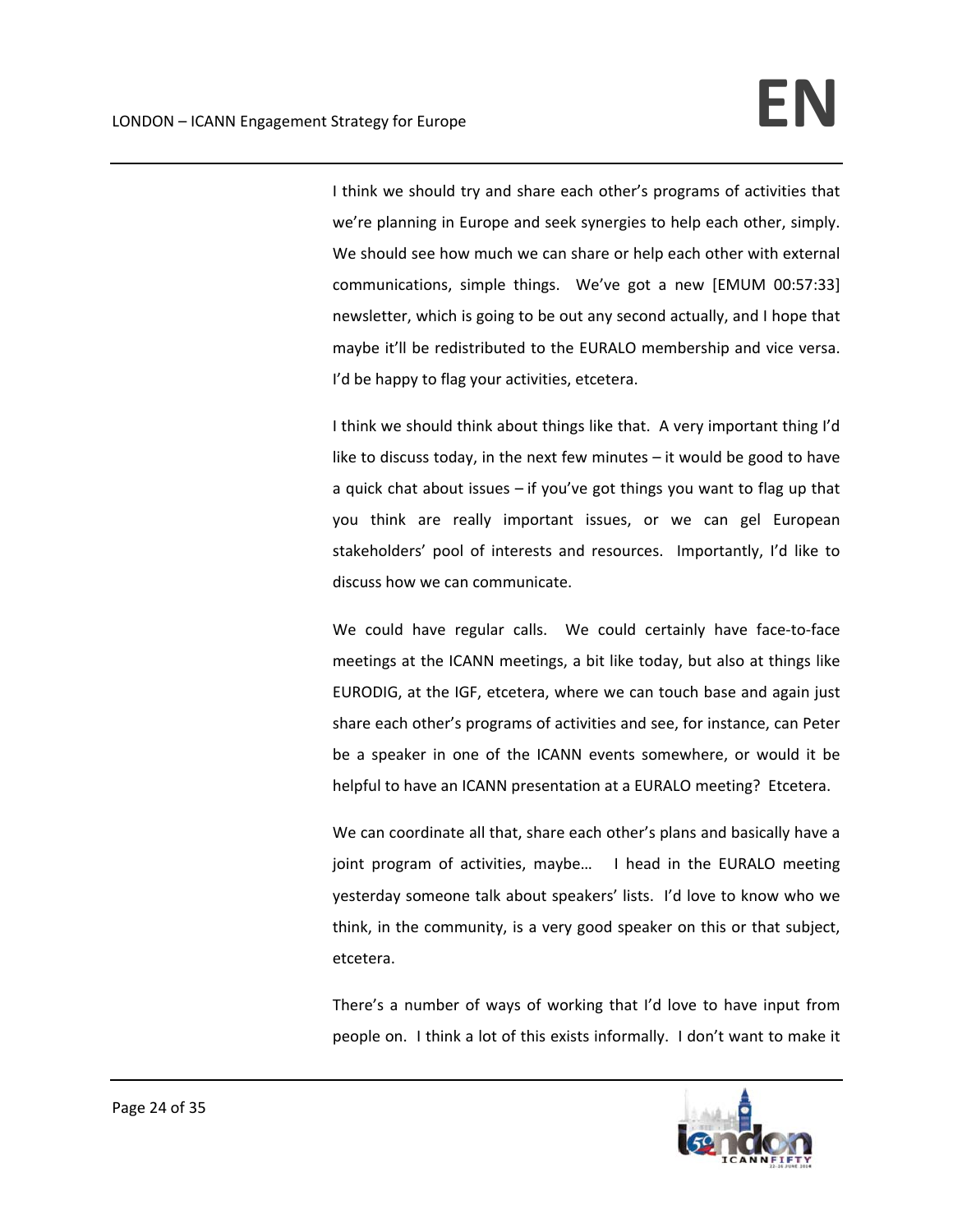I think we should try and share each other's programs of activities that we're planning in Europe and seek synergies to help each other, simply. We should see how much we can share or help each other with external communications, simple things. We've got a new [EMUM 00:57:33] newsletter, which is going to be out any second actually, and I hope that maybe it'll be redistributed to the EURALO membership and vice versa. I'd be happy to flag your activities, etcetera.

I think we should think about things like that. A very important thing I'd like to discuss today, in the next few minutes – it would be good to have a quick chat about issues – if you've got things you want to flag up that you think are really important issues, or we can gel European stakeholders' pool of interests and resources. Importantly, I'd like to discuss how we can communicate.

We could have regular calls. We could certainly have face-to-face meetings at the ICANN meetings, a bit like today, but also at things like EURODIG, at the IGF, etcetera, where we can touch base and again just share each other's programs of activities and see, for instance, can Peter be a speaker in one of the ICANN events somewhere, or would it be helpful to have an ICANN presentation at a EURALO meeting? Etcetera.

We can coordinate all that, share each other's plans and basically have a joint program of activities, maybe... I head in the EURALO meeting yesterday someone talk about speakers' lists. I'd love to know who we think, in the community, is a very good speaker on this or that subject, etcetera.

There's a number of ways of working that I'd love to have input from people on. I think a lot of this exists informally. I don't want to make it

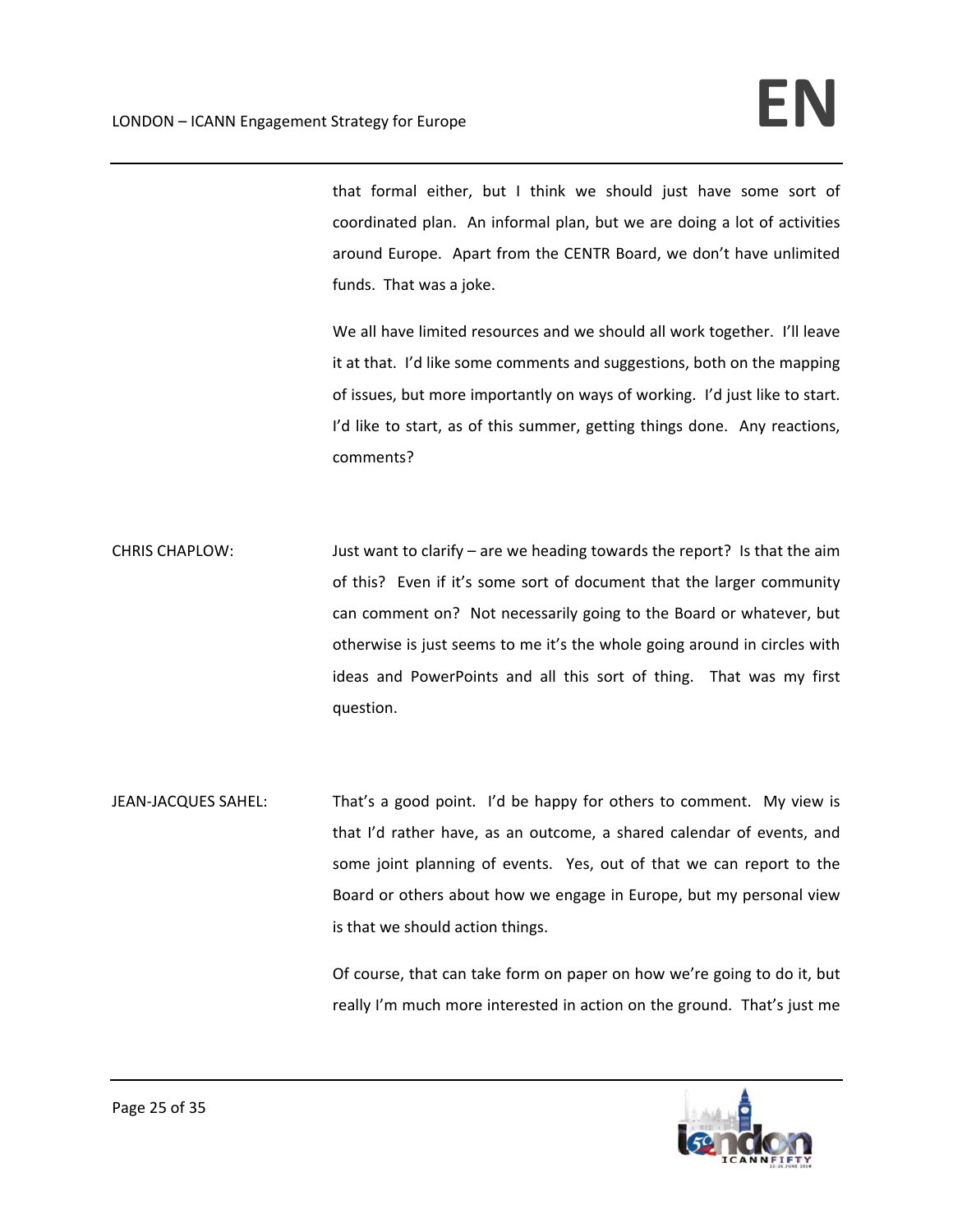that formal either, but I think we should just have some sort of coordinated plan. An informal plan, but we are doing a lot of activities around Europe. Apart from the CENTR Board, we don't have unlimited funds. That was a joke.

We all have limited resources and we should all work together. I'll leave it at that. I'd like some comments and suggestions, both on the mapping of issues, but more importantly on ways of working. I'd just like to start. I'd like to start, as of this summer, getting things done. Any reactions, comments?

CHRIS CHAPLOW: Just want to clarify – are we heading towards the report? Is that the aim of this? Even if it's some sort of document that the larger community can comment on? Not necessarily going to the Board or whatever, but otherwise is just seems to me it's the whole going around in circles with ideas and PowerPoints and all this sort of thing. That was my first question.

JEAN-JACQUES SAHEL: That's a good point. I'd be happy for others to comment. My view is that I'd rather have, as an outcome, a shared calendar of events, and some joint planning of events. Yes, out of that we can report to the Board or others about how we engage in Europe, but my personal view is that we should action things.

> Of course, that can take form on paper on how we're going to do it, but really I'm much more interested in action on the ground. That's just me

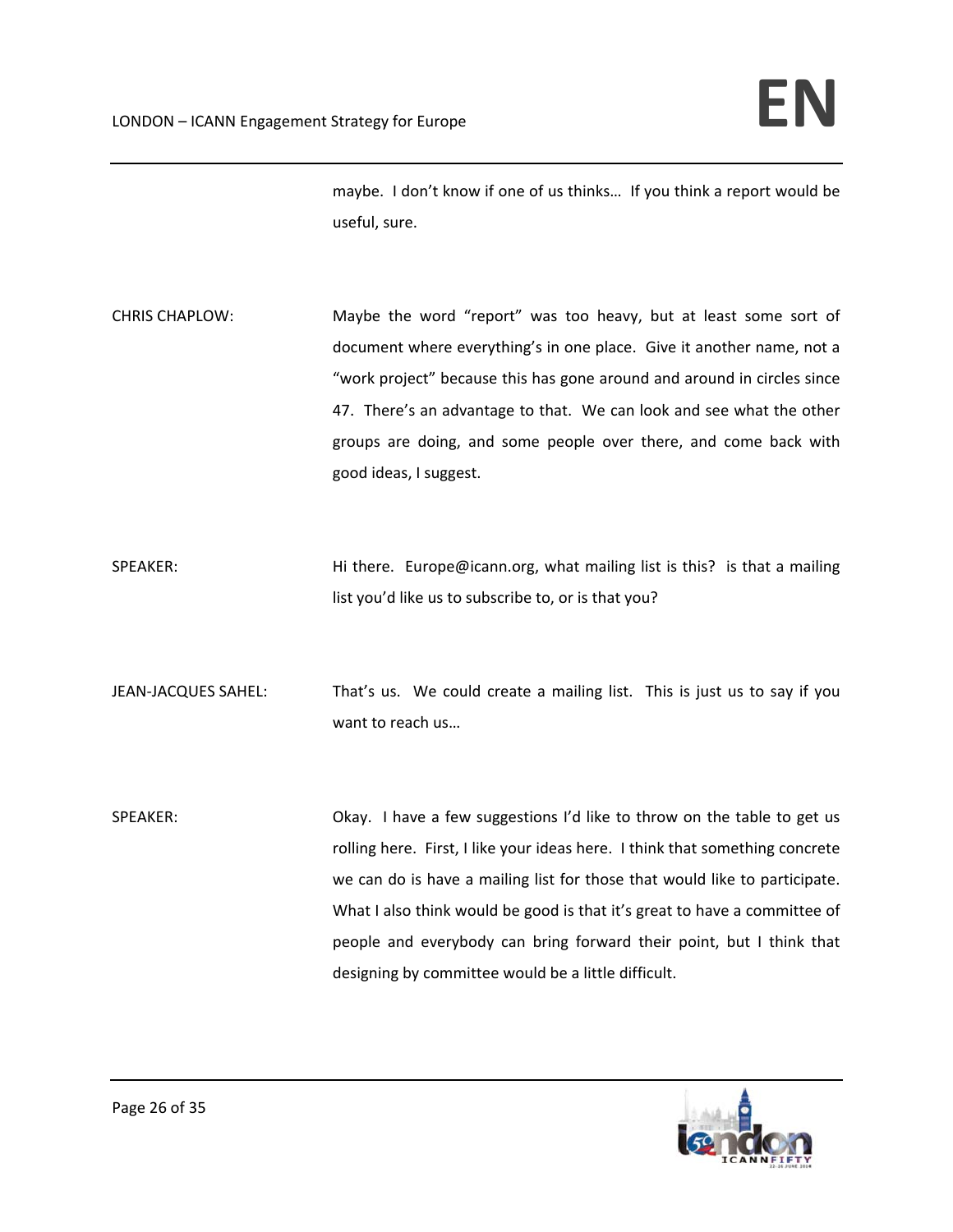maybe. I don't know if one of us thinks… If you think a report would be useful, sure.

- CHRIS CHAPLOW: Maybe the word "report" was too heavy, but at least some sort of document where everything's in one place. Give it another name, not a "work project" because this has gone around and around in circles since 47. There's an advantage to that. We can look and see what the other groups are doing, and some people over there, and come back with good ideas, I suggest.
- SPEAKER: Hi there. Europe@icann.org, what mailing list is this? is that a mailing list you'd like us to subscribe to, or is that you?
- JEAN-JACQUES SAHEL: That's us. We could create a mailing list. This is just us to say if you want to reach us…
- SPEAKER: Okay. I have a few suggestions I'd like to throw on the table to get us rolling here. First, I like your ideas here. I think that something concrete we can do is have a mailing list for those that would like to participate. What I also think would be good is that it's great to have a committee of people and everybody can bring forward their point, but I think that designing by committee would be a little difficult.

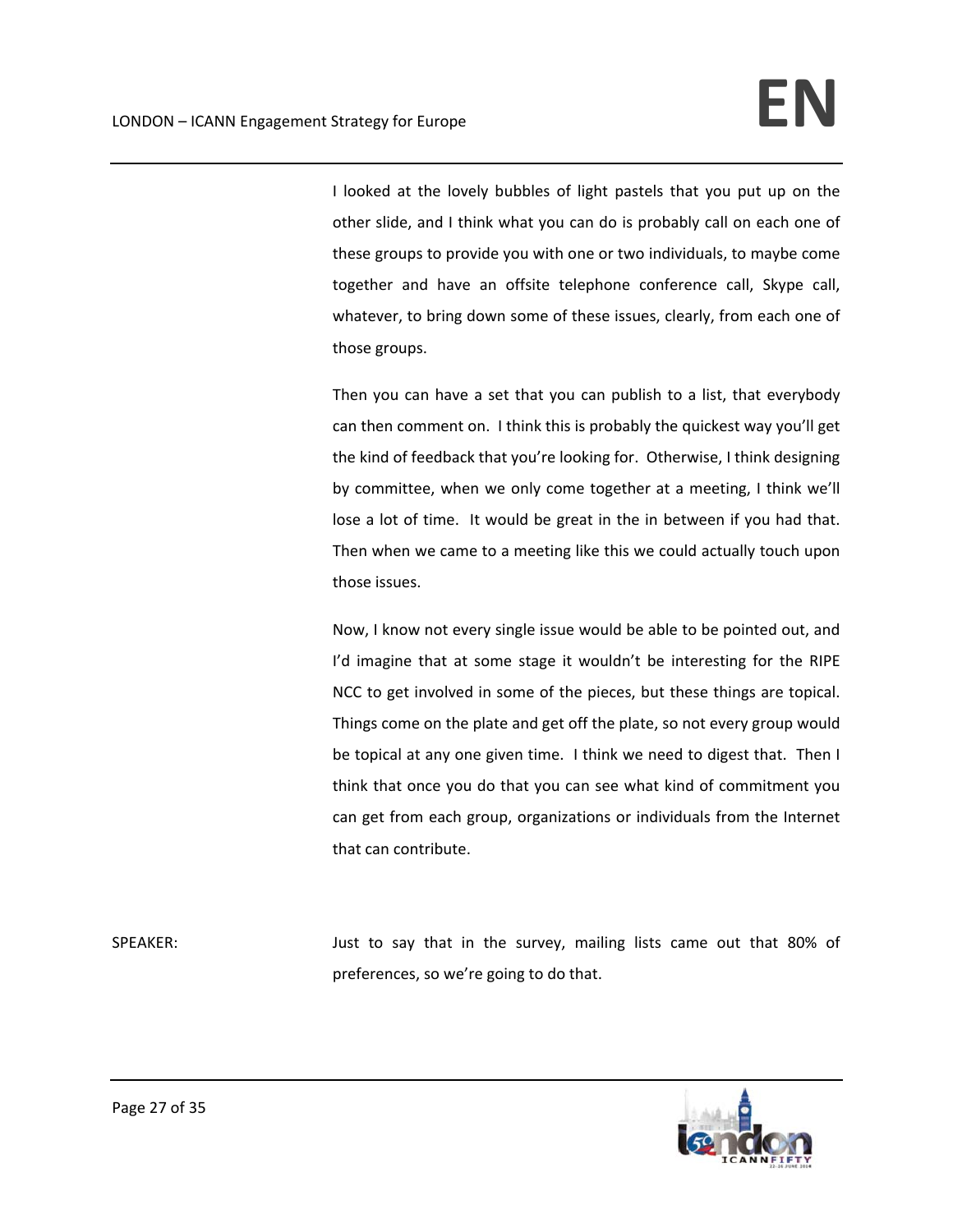I looked at the lovely bubbles of light pastels that you put up on the other slide, and I think what you can do is probably call on each one of these groups to provide you with one or two individuals, to maybe come together and have an offsite telephone conference call, Skype call, whatever, to bring down some of these issues, clearly, from each one of those groups.

Then you can have a set that you can publish to a list, that everybody can then comment on. I think this is probably the quickest way you'll get the kind of feedback that you're looking for. Otherwise, I think designing by committee, when we only come together at a meeting, I think we'll lose a lot of time. It would be great in the in between if you had that. Then when we came to a meeting like this we could actually touch upon those issues.

Now, I know not every single issue would be able to be pointed out, and I'd imagine that at some stage it wouldn't be interesting for the RIPE NCC to get involved in some of the pieces, but these things are topical. Things come on the plate and get off the plate, so not every group would be topical at any one given time. I think we need to digest that. Then I think that once you do that you can see what kind of commitment you can get from each group, organizations or individuals from the Internet that can contribute.

SPEAKER: Just to say that in the survey, mailing lists came out that 80% of preferences, so we're going to do that.



Page 27 of 35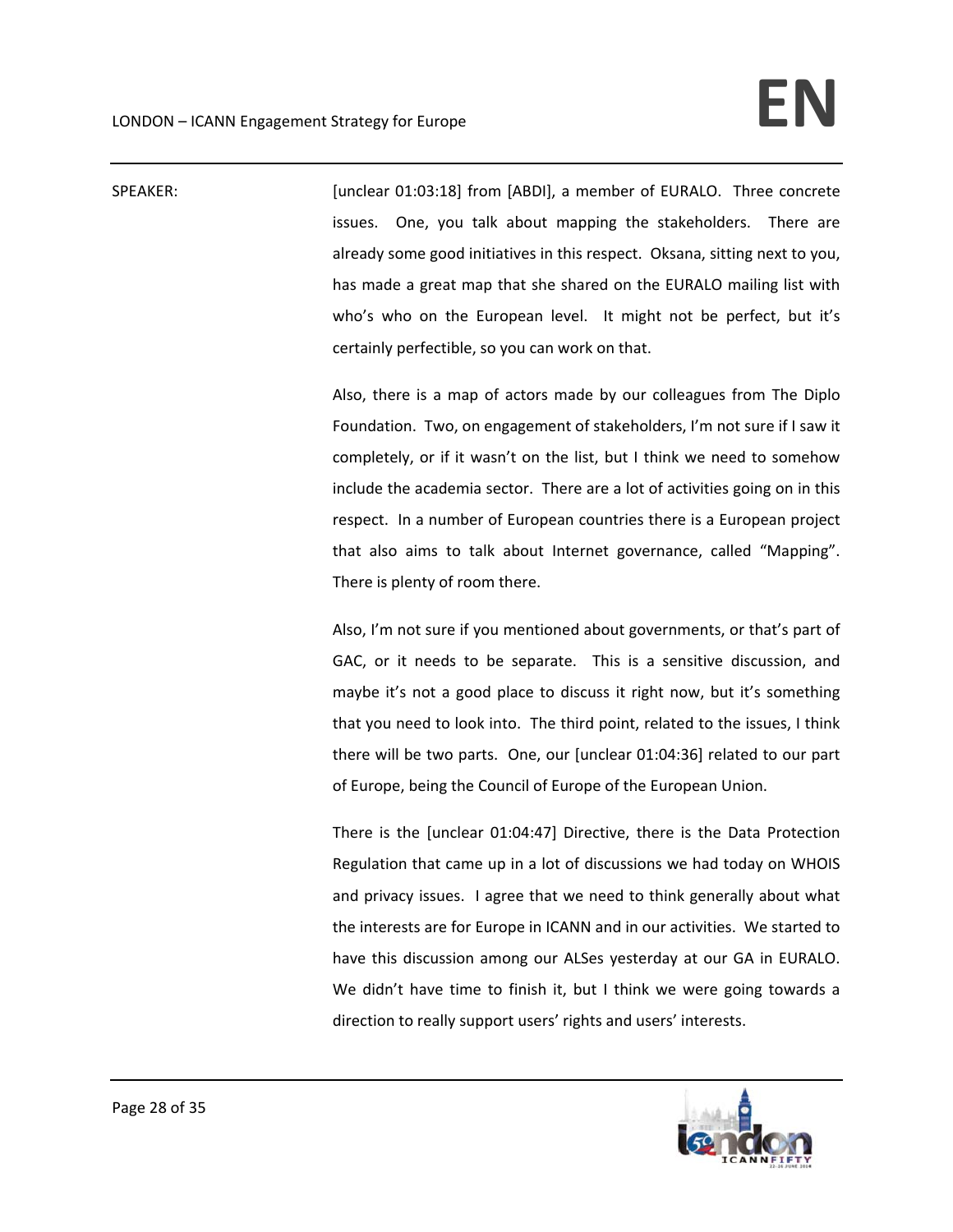SPEAKER: [unclear 01:03:18] from [ABDI], a member of EURALO. Three concrete issues. One, you talk about mapping the stakeholders. There are already some good initiatives in this respect. Oksana, sitting next to you, has made a great map that she shared on the EURALO mailing list with who's who on the European level. It might not be perfect, but it's certainly perfectible, so you can work on that.

> Also, there is a map of actors made by our colleagues from The Diplo Foundation. Two, on engagement of stakeholders, I'm not sure if I saw it completely, or if it wasn't on the list, but I think we need to somehow include the academia sector. There are a lot of activities going on in this respect. In a number of European countries there is a European project that also aims to talk about Internet governance, called "Mapping". There is plenty of room there.

> Also, I'm not sure if you mentioned about governments, or that's part of GAC, or it needs to be separate. This is a sensitive discussion, and maybe it's not a good place to discuss it right now, but it's something that you need to look into. The third point, related to the issues, I think there will be two parts. One, our [unclear 01:04:36] related to our part of Europe, being the Council of Europe of the European Union.

> There is the [unclear 01:04:47] Directive, there is the Data Protection Regulation that came up in a lot of discussions we had today on WHOIS and privacy issues. I agree that we need to think generally about what the interests are for Europe in ICANN and in our activities. We started to have this discussion among our ALSes yesterday at our GA in EURALO. We didn't have time to finish it, but I think we were going towards a direction to really support users' rights and users' interests.

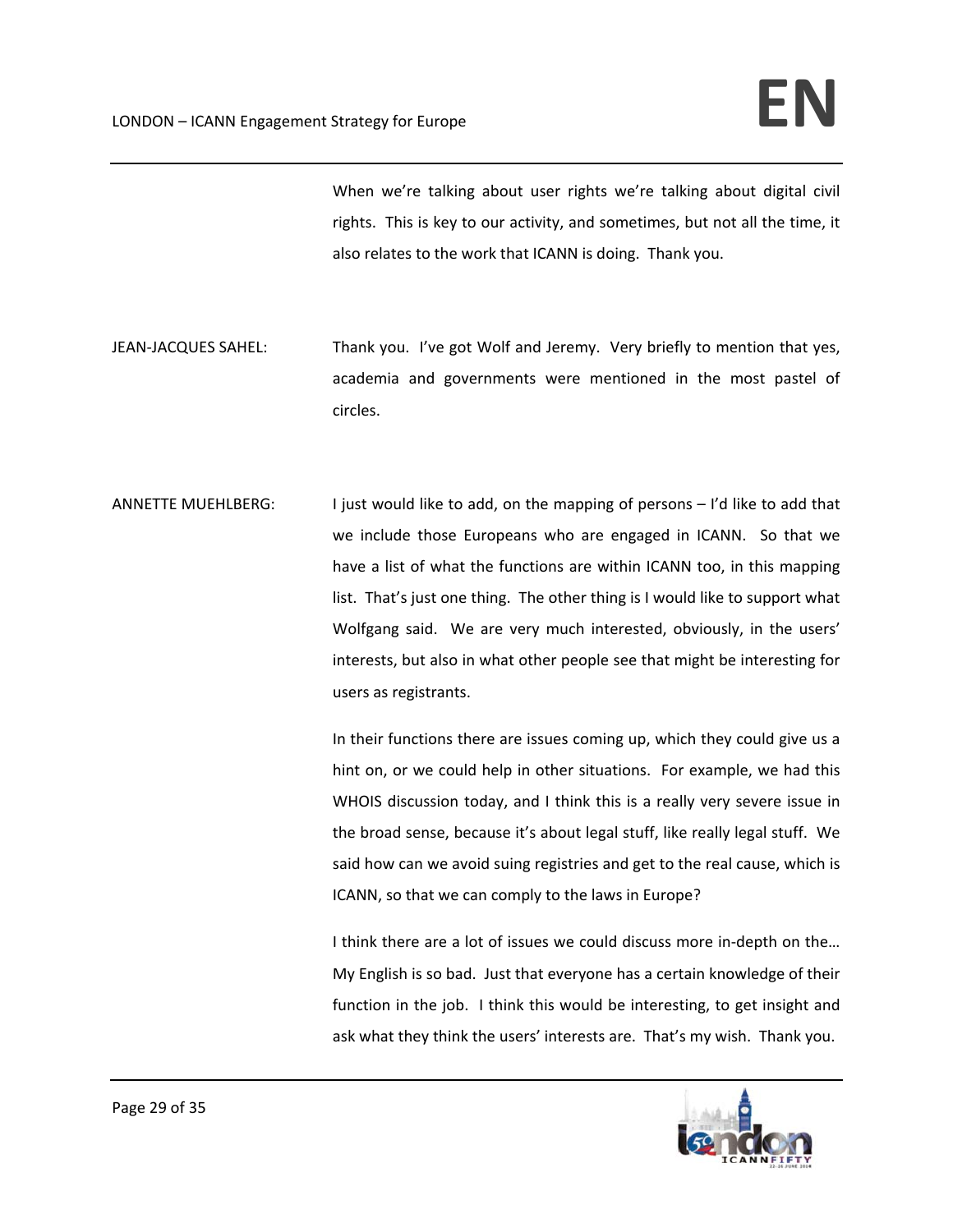When we're talking about user rights we're talking about digital civil rights. This is key to our activity, and sometimes, but not all the time, it also relates to the work that ICANN is doing. Thank you.

- JEAN-JACQUES SAHEL: Thank you. I've got Wolf and Jeremy. Very briefly to mention that yes, academia and governments were mentioned in the most pastel of circles.
- ANNETTE MUEHLBERG: I just would like to add, on the mapping of persons I'd like to add that we include those Europeans who are engaged in ICANN. So that we have a list of what the functions are within ICANN too, in this mapping list. That's just one thing. The other thing is I would like to support what Wolfgang said. We are very much interested, obviously, in the users' interests, but also in what other people see that might be interesting for users as registrants.

In their functions there are issues coming up, which they could give us a hint on, or we could help in other situations. For example, we had this WHOIS discussion today, and I think this is a really very severe issue in the broad sense, because it's about legal stuff, like really legal stuff. We said how can we avoid suing registries and get to the real cause, which is ICANN, so that we can comply to the laws in Europe?

I think there are a lot of issues we could discuss more in-depth on the... My English is so bad. Just that everyone has a certain knowledge of their function in the job. I think this would be interesting, to get insight and ask what they think the users' interests are. That's my wish. Thank you.

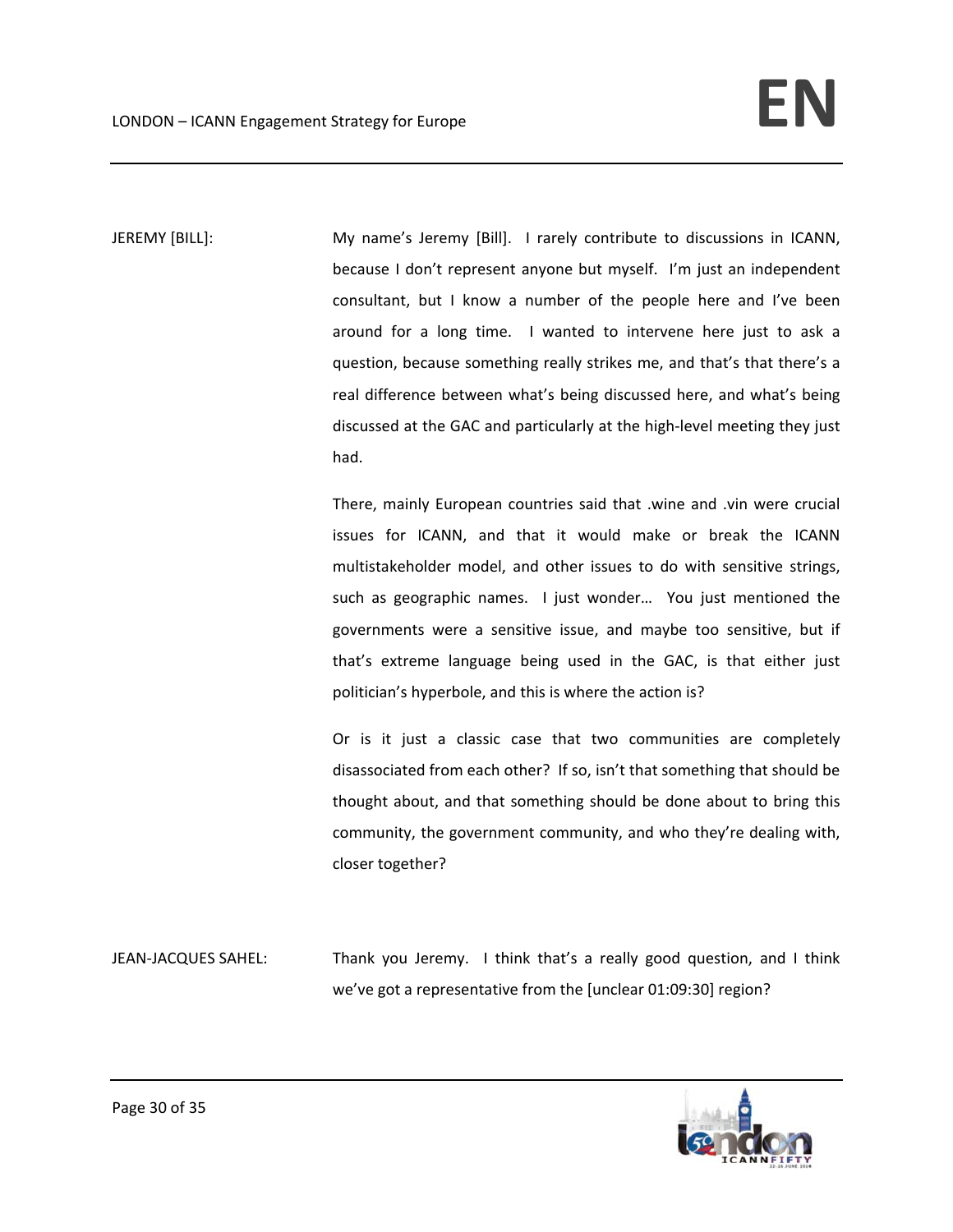JEREMY [BILL]: My name's Jeremy [Bill]. I rarely contribute to discussions in ICANN, because I don't represent anyone but myself. I'm just an independent consultant, but I know a number of the people here and I've been around for a long time. I wanted to intervene here just to ask a question, because something really strikes me, and that's that there's a real difference between what's being discussed here, and what's being discussed at the GAC and particularly at the high‐level meeting they just had.

> There, mainly European countries said that .wine and .vin were crucial issues for ICANN, and that it would make or break the ICANN multistakeholder model, and other issues to do with sensitive strings, such as geographic names. I just wonder... You just mentioned the governments were a sensitive issue, and maybe too sensitive, but if that's extreme language being used in the GAC, is that either just politician's hyperbole, and this is where the action is?

> Or is it just a classic case that two communities are completely disassociated from each other? If so, isn't that something that should be thought about, and that something should be done about to bring this community, the government community, and who they're dealing with, closer together?

JEAN-JACQUES SAHEL: Thank you Jeremy. I think that's a really good question, and I think we've got a representative from the [unclear 01:09:30] region?

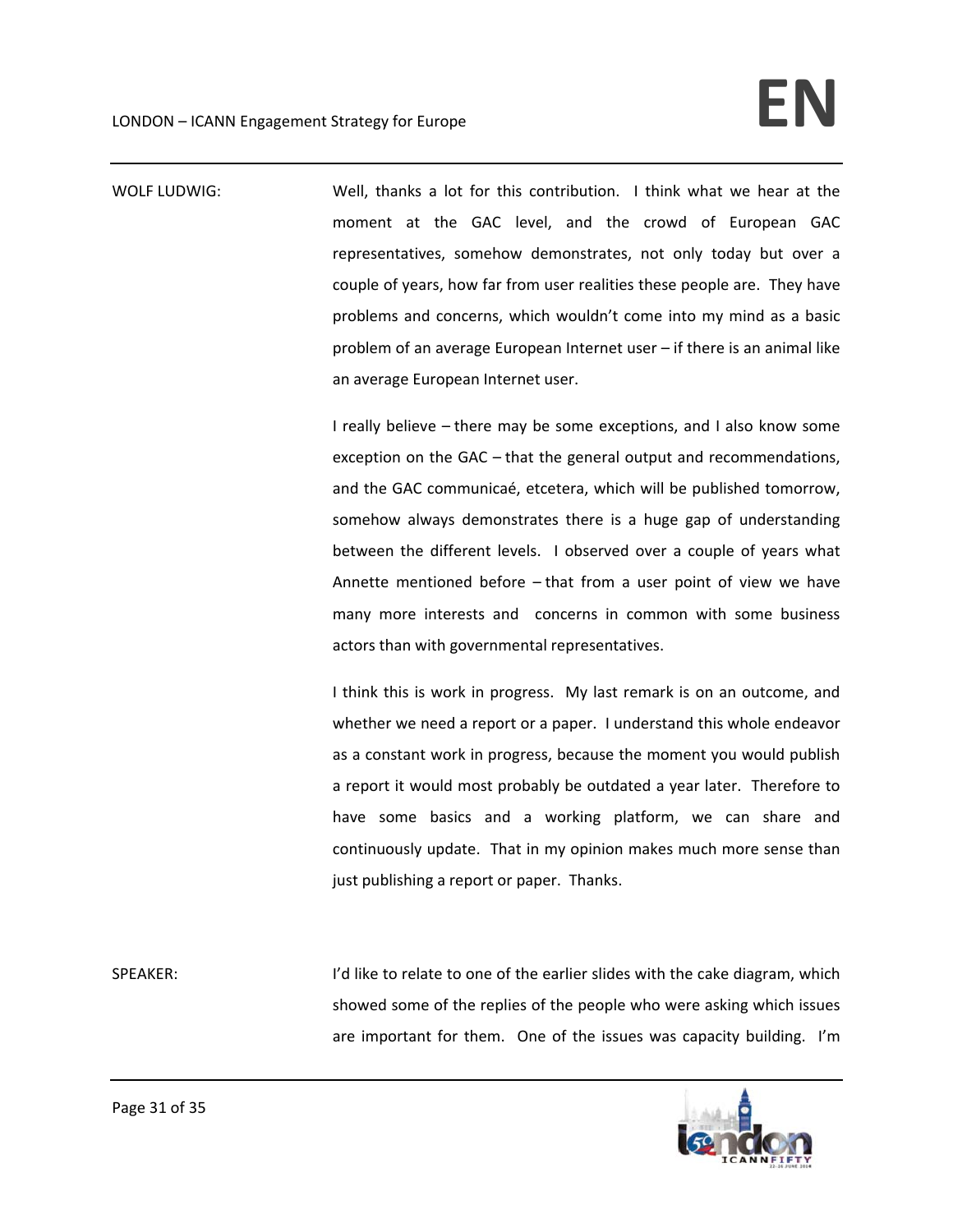WOLF LUDWIG: Well, thanks a lot for this contribution. I think what we hear at the moment at the GAC level, and the crowd of European GAC representatives, somehow demonstrates, not only today but over a couple of years, how far from user realities these people are. They have problems and concerns, which wouldn't come into my mind as a basic problem of an average European Internet user – if there is an animal like an average European Internet user.

> I really believe – there may be some exceptions, and I also know some exception on the GAC – that the general output and recommendations, and the GAC communicaé, etcetera, which will be published tomorrow, somehow always demonstrates there is a huge gap of understanding between the different levels. I observed over a couple of years what Annette mentioned before – that from a user point of view we have many more interests and concerns in common with some business actors than with governmental representatives.

> I think this is work in progress. My last remark is on an outcome, and whether we need a report or a paper. I understand this whole endeavor as a constant work in progress, because the moment you would publish a report it would most probably be outdated a year later. Therefore to have some basics and a working platform, we can share and continuously update. That in my opinion makes much more sense than just publishing a report or paper. Thanks.

SPEAKER: I'd like to relate to one of the earlier slides with the cake diagram, which showed some of the replies of the people who were asking which issues are important for them. One of the issues was capacity building. I'm

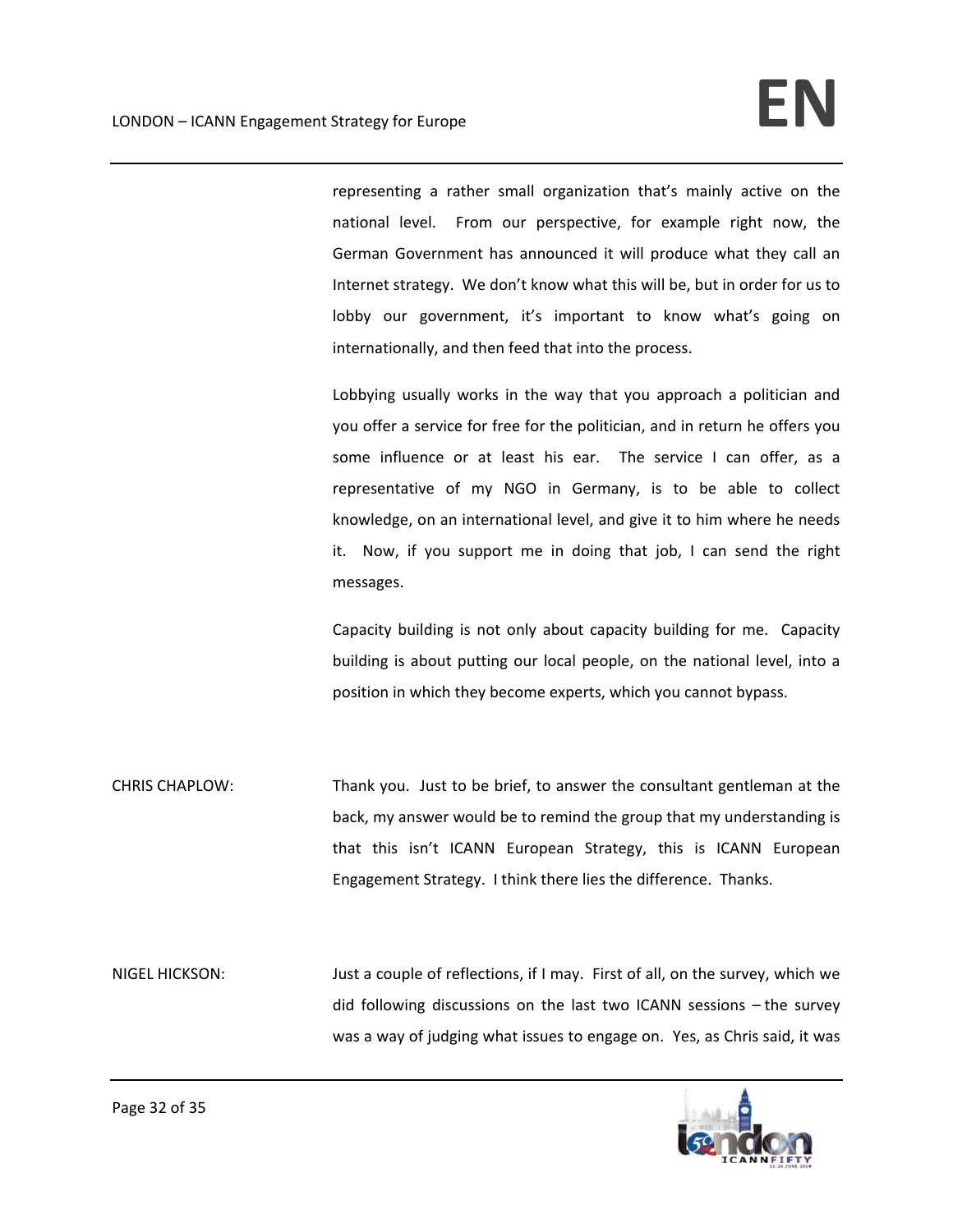representing a rather small organization that's mainly active on the national level. From our perspective, for example right now, the German Government has announced it will produce what they call an Internet strategy. We don't know what this will be, but in order for us to lobby our government, it's important to know what's going on internationally, and then feed that into the process.

Lobbying usually works in the way that you approach a politician and you offer a service for free for the politician, and in return he offers you some influence or at least his ear. The service I can offer, as a representative of my NGO in Germany, is to be able to collect knowledge, on an international level, and give it to him where he needs it. Now, if you support me in doing that job, I can send the right messages.

Capacity building is not only about capacity building for me. Capacity building is about putting our local people, on the national level, into a position in which they become experts, which you cannot bypass.

CHRIS CHAPLOW: Thank you. Just to be brief, to answer the consultant gentleman at the back, my answer would be to remind the group that my understanding is that this isn't ICANN European Strategy, this is ICANN European Engagement Strategy. I think there lies the difference. Thanks.

NIGEL HICKSON: Just a couple of reflections, if I may. First of all, on the survey, which we did following discussions on the last two ICANN sessions – the survey was a way of judging what issues to engage on. Yes, as Chris said, it was

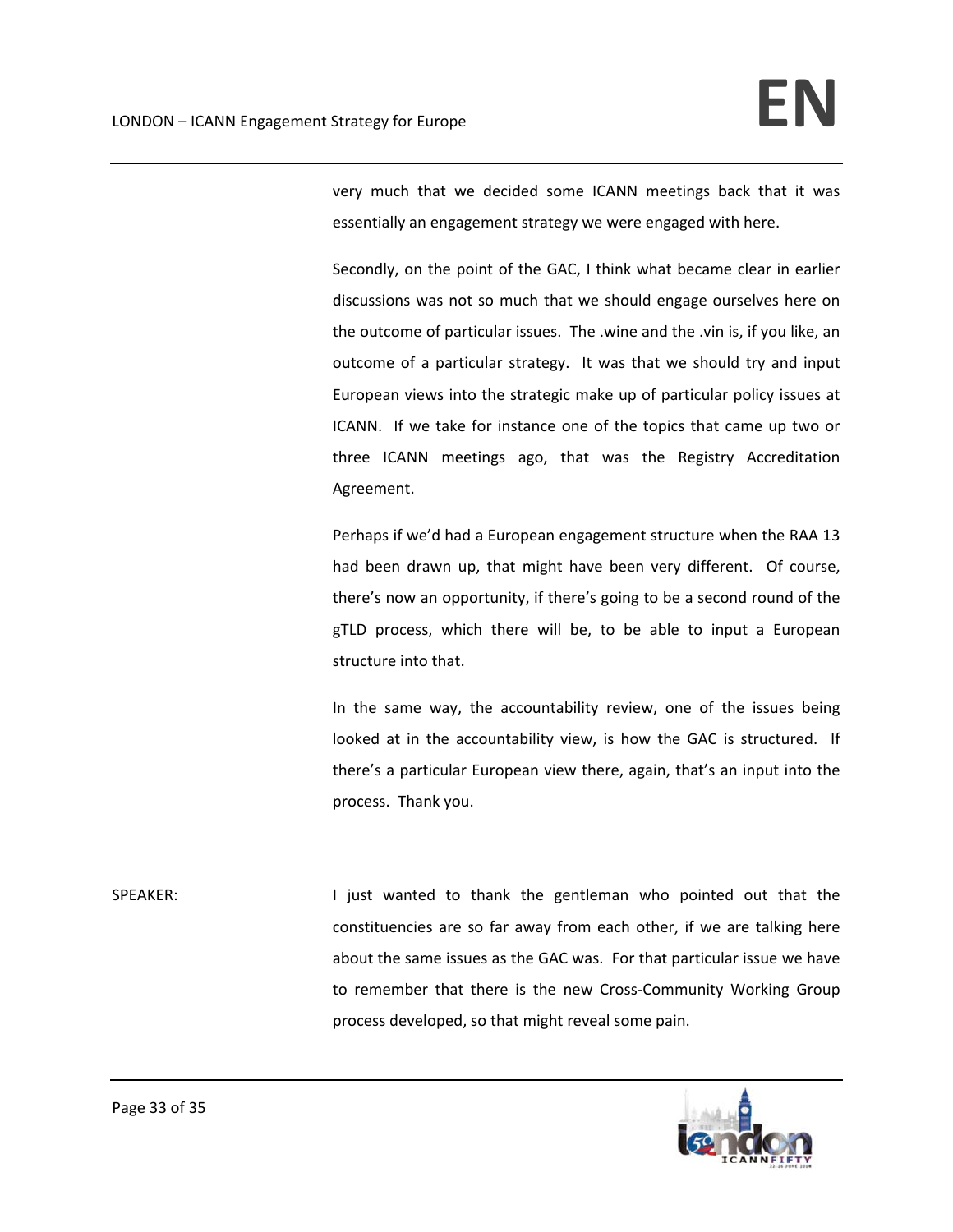very much that we decided some ICANN meetings back that it was essentially an engagement strategy we were engaged with here.

Secondly, on the point of the GAC, I think what became clear in earlier discussions was not so much that we should engage ourselves here on the outcome of particular issues. The .wine and the .vin is, if you like, an outcome of a particular strategy. It was that we should try and input European views into the strategic make up of particular policy issues at ICANN. If we take for instance one of the topics that came up two or three ICANN meetings ago, that was the Registry Accreditation Agreement.

Perhaps if we'd had a European engagement structure when the RAA 13 had been drawn up, that might have been very different. Of course, there's now an opportunity, if there's going to be a second round of the gTLD process, which there will be, to be able to input a European structure into that.

In the same way, the accountability review, one of the issues being looked at in the accountability view, is how the GAC is structured. If there's a particular European view there, again, that's an input into the process. Thank you.

SPEAKER: **I** just wanted to thank the gentleman who pointed out that the constituencies are so far away from each other, if we are talking here about the same issues as the GAC was. For that particular issue we have to remember that there is the new Cross‐Community Working Group process developed, so that might reveal some pain.

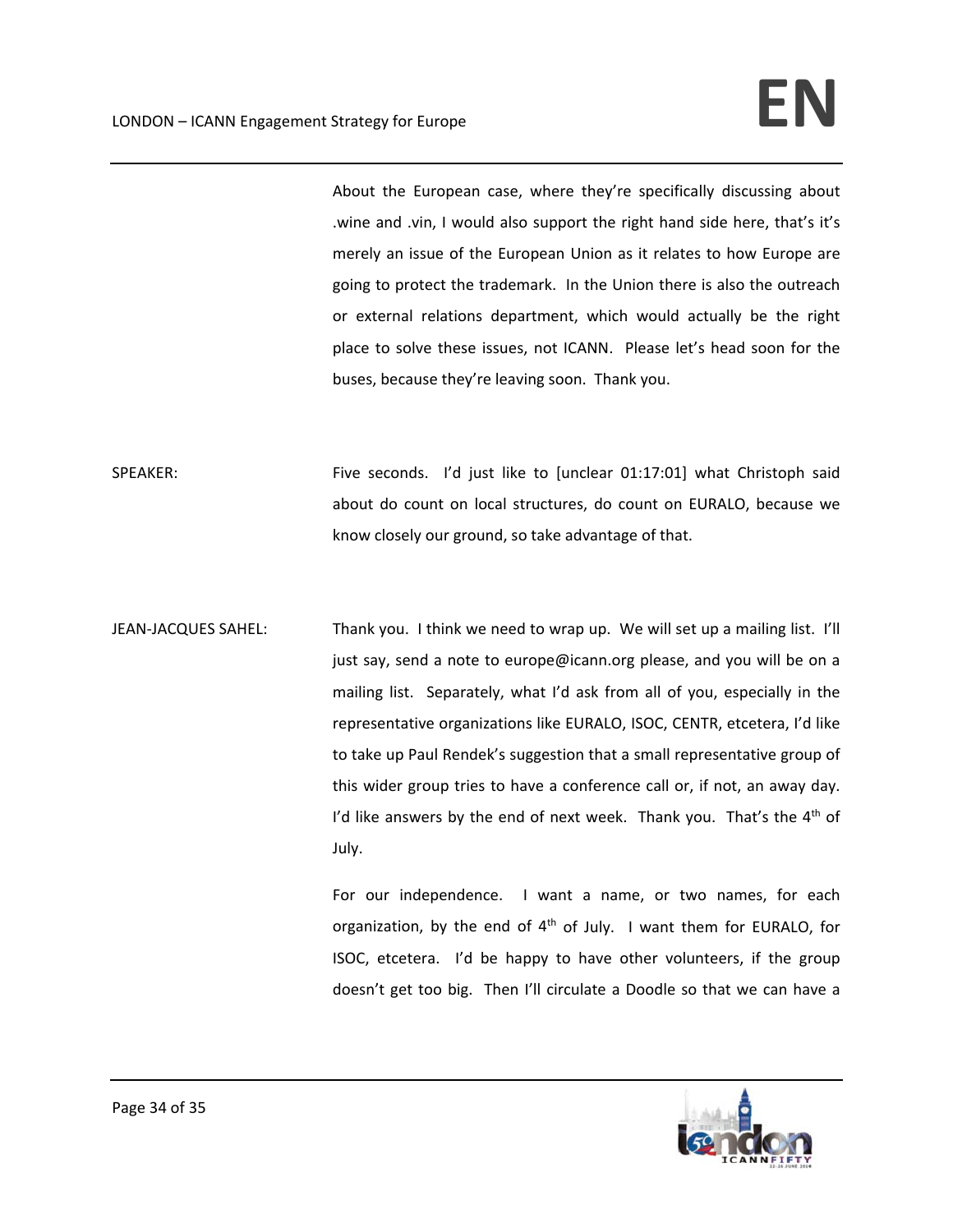About the European case, where they're specifically discussing about .wine and .vin, I would also support the right hand side here, that's it's merely an issue of the European Union as it relates to how Europe are going to protect the trademark. In the Union there is also the outreach or external relations department, which would actually be the right place to solve these issues, not ICANN. Please let's head soon for the buses, because they're leaving soon. Thank you.

SPEAKER: Five seconds. I'd just like to [unclear 01:17:01] what Christoph said about do count on local structures, do count on EURALO, because we know closely our ground, so take advantage of that.

JEAN-JACQUES SAHEL: Thank you. I think we need to wrap up. We will set up a mailing list. I'll just say, send a note to europe@icann.org please, and you will be on a mailing list. Separately, what I'd ask from all of you, especially in the representative organizations like EURALO, ISOC, CENTR, etcetera, I'd like to take up Paul Rendek's suggestion that a small representative group of this wider group tries to have a conference call or, if not, an away day. I'd like answers by the end of next week. Thank you. That's the  $4<sup>th</sup>$  of July.

> For our independence. I want a name, or two names, for each organization, by the end of  $4<sup>th</sup>$  of July. I want them for EURALO, for ISOC, etcetera. I'd be happy to have other volunteers, if the group doesn't get too big. Then I'll circulate a Doodle so that we can have a